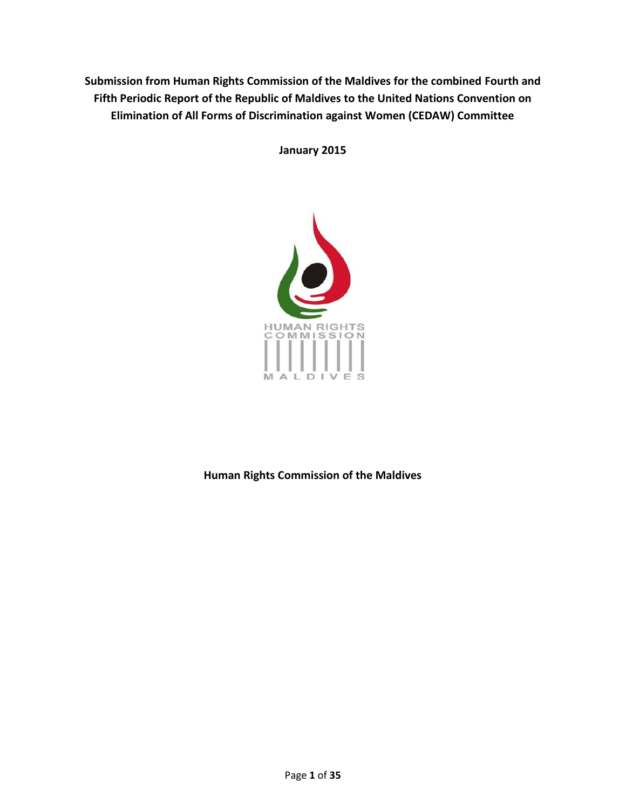**Submission from Human Rights Commission of the Maldives for the combined Fourth and Fifth Periodic Report of the Republic of Maldives to the United Nations Convention on Elimination of All Forms of Discrimination against Women (CEDAW) Committee**

**January 2015**



**Human Rights Commission of the Maldives**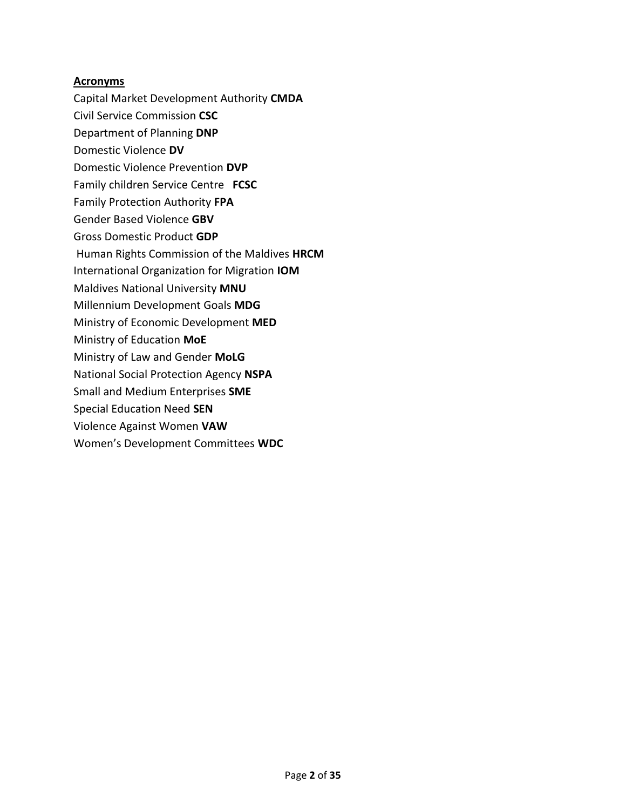### **Acronyms**

- Capital Market Development Authority **CMDA**
- Civil Service Commission **CSC**
- Department of Planning **DNP** Domestic Violence **DV**
- Domestic Violence Prevention **DVP**
- Family children Service Centre **FCSC**
- 
- Family Protection Authority **FPA**
- Gender Based Violence **GBV**
- Gross Domestic Product **GDP**
- Human Rights Commission of the Maldives **HRCM**
- International Organization for Migration **IOM**
- Maldives National University **MNU**
- Millennium Development Goals **MDG**
- Ministry of Economic Development **MED**
- Ministry of Education **MoE**
- Ministry of Law and Gender **MoLG**
- National Social Protection Agency **NSPA**
- Small and Medium Enterprises **SME**
- Special Education Need **SEN**
- Violence Against Women **VAW**
- Women's Development Committees **WDC**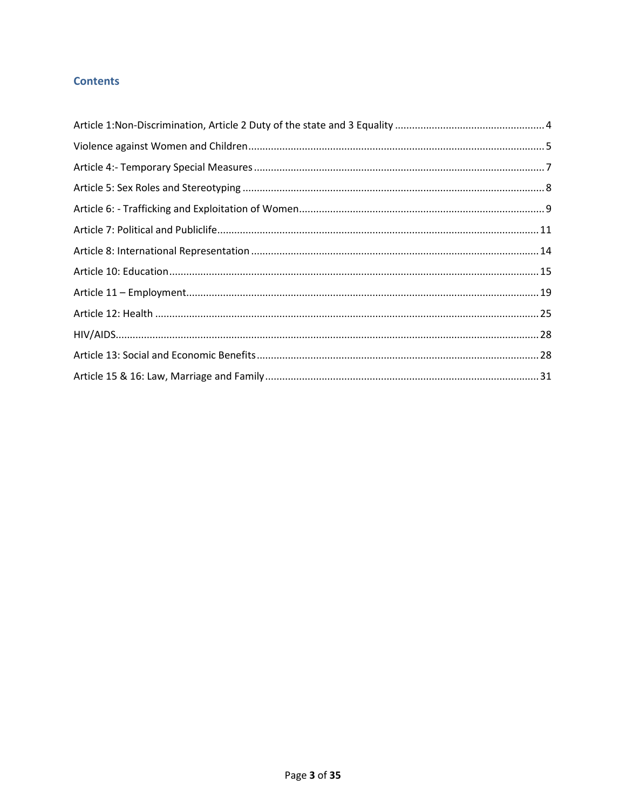# **Contents**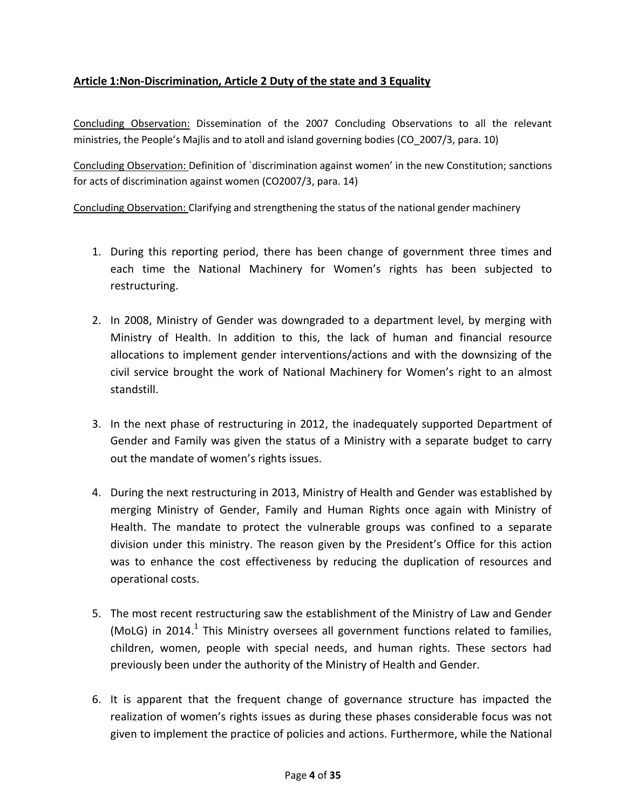# <span id="page-3-0"></span>**Article 1:Non-Discrimination, Article 2 Duty of the state and 3 Equality**

Concluding Observation: Dissemination of the 2007 Concluding Observations to all the relevant ministries, the People's Majlis and to atoll and island governing bodies (CO\_2007/3, para. 10)

Concluding Observation: Definition of `discrimination against women' in the new Constitution; sanctions for acts of discrimination against women (CO2007/3, para. 14)

Concluding Observation: Clarifying and strengthening the status of the national gender machinery

- 1. During this reporting period, there has been change of government three times and each time the National Machinery for Women's rights has been subjected to restructuring.
- 2. In 2008, Ministry of Gender was downgraded to a department level, by merging with Ministry of Health. In addition to this, the lack of human and financial resource allocations to implement gender interventions/actions and with the downsizing of the civil service brought the work of National Machinery for Women's right to an almost standstill.
- 3. In the next phase of restructuring in 2012, the inadequately supported Department of Gender and Family was given the status of a Ministry with a separate budget to carry out the mandate of women's rights issues.
- 4. During the next restructuring in 2013, Ministry of Health and Gender was established by merging Ministry of Gender, Family and Human Rights once again with Ministry of Health. The mandate to protect the vulnerable groups was confined to a separate division under this ministry. The reason given by the President's Office for this action was to enhance the cost effectiveness by reducing the duplication of resources and operational costs.
- 5. The most recent restructuring saw the establishment of the Ministry of Law and Gender (MoLG) in 2014. $^1$  This Ministry oversees all government functions related to families, children, women, people with special needs, and human rights. These sectors had previously been under the authority of the Ministry of Health and Gender.
- 6. It is apparent that the frequent change of governance structure has impacted the realization of women's rights issues as during these phases considerable focus was not given to implement the practice of policies and actions. Furthermore, while the National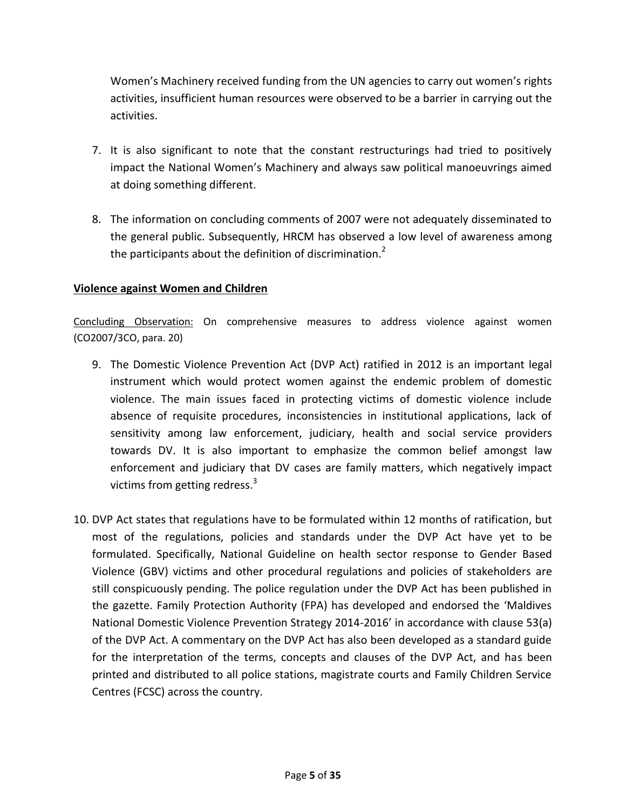Women's Machinery received funding from the UN agencies to carry out women's rights activities, insufficient human resources were observed to be a barrier in carrying out the activities.

- 7. It is also significant to note that the constant restructurings had tried to positively impact the National Women's Machinery and always saw political manoeuvrings aimed at doing something different.
- 8. The information on concluding comments of 2007 were not adequately disseminated to the general public. Subsequently, HRCM has observed a low level of awareness among the participants about the definition of discrimination.<sup>2</sup>

## <span id="page-4-0"></span>**Violence against Women and Children**

Concluding Observation: On comprehensive measures to address violence against women (CO2007/3CO, para. 20)

- 9. The Domestic Violence Prevention Act (DVP Act) ratified in 2012 is an important legal instrument which would protect women against the endemic problem of domestic violence. The main issues faced in protecting victims of domestic violence include absence of requisite procedures, inconsistencies in institutional applications, lack of sensitivity among law enforcement, judiciary, health and social service providers towards DV. It is also important to emphasize the common belief amongst law enforcement and judiciary that DV cases are family matters, which negatively impact victims from getting redress.<sup>3</sup>
- 10. DVP Act states that regulations have to be formulated within 12 months of ratification, but most of the regulations, policies and standards under the DVP Act have yet to be formulated. Specifically, National Guideline on health sector response to Gender Based Violence (GBV) victims and other procedural regulations and policies of stakeholders are still conspicuously pending. The police regulation under the DVP Act has been published in the gazette. Family Protection Authority (FPA) has developed and endorsed the 'Maldives National Domestic Violence Prevention Strategy 2014-2016' in accordance with clause 53(a) of the DVP Act. A commentary on the DVP Act has also been developed as a standard guide for the interpretation of the terms, concepts and clauses of the DVP Act, and has been printed and distributed to all police stations, magistrate courts and Family Children Service Centres (FCSC) across the country.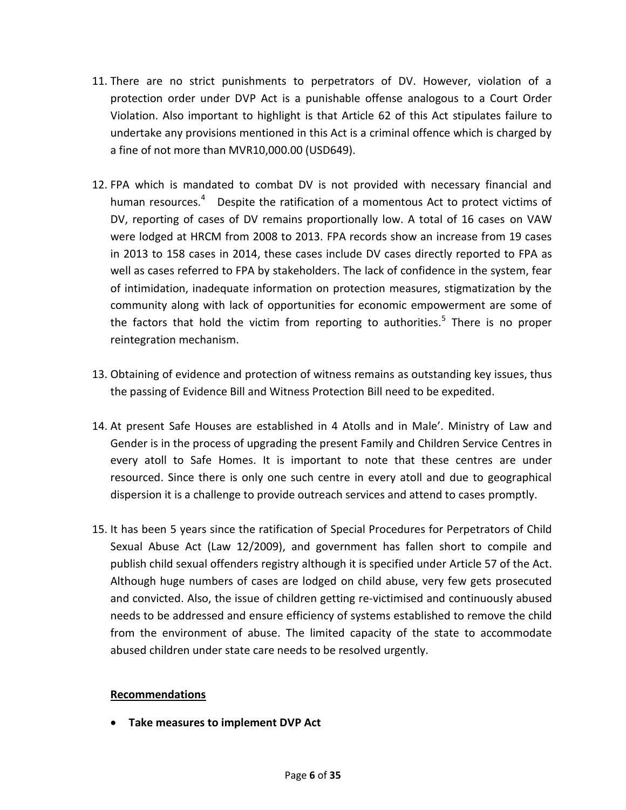- 11. There are no strict punishments to perpetrators of DV. However, violation of a protection order under DVP Act is a punishable offense analogous to a Court Order Violation. Also important to highlight is that Article 62 of this Act stipulates failure to undertake any provisions mentioned in this Act is a criminal offence which is charged by a fine of not more than MVR10,000.00 (USD649).
- 12. FPA which is mandated to combat DV is not provided with necessary financial and human resources.<sup>4</sup> Despite the ratification of a momentous Act to protect victims of DV, reporting of cases of DV remains proportionally low. A total of 16 cases on VAW were lodged at HRCM from 2008 to 2013. FPA records show an increase from 19 cases in 2013 to 158 cases in 2014, these cases include DV cases directly reported to FPA as well as cases referred to FPA by stakeholders. The lack of confidence in the system, fear of intimidation, inadequate information on protection measures, stigmatization by the community along with lack of opportunities for economic empowerment are some of the factors that hold the victim from reporting to authorities.<sup>5</sup> There is no proper reintegration mechanism.
- 13. Obtaining of evidence and protection of witness remains as outstanding key issues, thus the passing of Evidence Bill and Witness Protection Bill need to be expedited.
- 14. At present Safe Houses are established in 4 Atolls and in Male'. Ministry of Law and Gender is in the process of upgrading the present Family and Children Service Centres in every atoll to Safe Homes. It is important to note that these centres are under resourced. Since there is only one such centre in every atoll and due to geographical dispersion it is a challenge to provide outreach services and attend to cases promptly.
- 15. It has been 5 years since the ratification of Special Procedures for Perpetrators of Child Sexual Abuse Act (Law 12/2009), and government has fallen short to compile and publish child sexual offenders registry although it is specified under Article 57 of the Act. Although huge numbers of cases are lodged on child abuse, very few gets prosecuted and convicted. Also, the issue of children getting re-victimised and continuously abused needs to be addressed and ensure efficiency of systems established to remove the child from the environment of abuse. The limited capacity of the state to accommodate abused children under state care needs to be resolved urgently.

### **Recommendations**

**Take measures to implement DVP Act**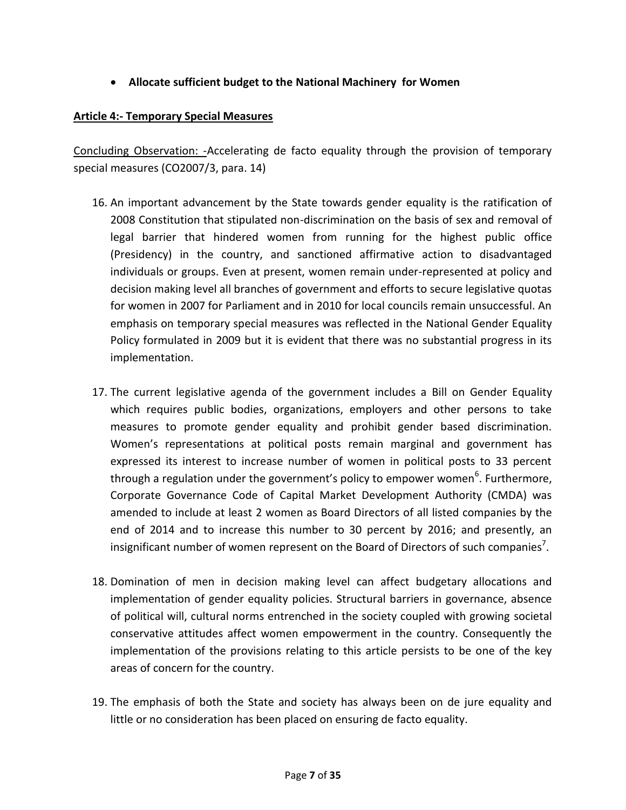# **Allocate sufficient budget to the National Machinery for Women**

## <span id="page-6-0"></span>**Article 4:- Temporary Special Measures**

Concluding Observation: -Accelerating de facto equality through the provision of temporary special measures (CO2007/3, para. 14)

- 16. An important advancement by the State towards gender equality is the ratification of 2008 Constitution that stipulated non-discrimination on the basis of sex and removal of legal barrier that hindered women from running for the highest public office (Presidency) in the country, and sanctioned affirmative action to disadvantaged individuals or groups. Even at present, women remain under-represented at policy and decision making level all branches of government and efforts to secure legislative quotas for women in 2007 for Parliament and in 2010 for local councils remain unsuccessful. An emphasis on temporary special measures was reflected in the National Gender Equality Policy formulated in 2009 but it is evident that there was no substantial progress in its implementation.
- 17. The current legislative agenda of the government includes a Bill on Gender Equality which requires public bodies, organizations, employers and other persons to take measures to promote gender equality and prohibit gender based discrimination. Women's representations at political posts remain marginal and government has expressed its interest to increase number of women in political posts to 33 percent through a regulation under the government's policy to empower women<sup>6</sup>. Furthermore, Corporate Governance Code of Capital Market Development Authority (CMDA) was amended to include at least 2 women as Board Directors of all listed companies by the end of 2014 and to increase this number to 30 percent by 2016; and presently, an insignificant number of women represent on the Board of Directors of such companies<sup>7</sup>.
- 18. Domination of men in decision making level can affect budgetary allocations and implementation of gender equality policies. Structural barriers in governance, absence of political will, cultural norms entrenched in the society coupled with growing societal conservative attitudes affect women empowerment in the country. Consequently the implementation of the provisions relating to this article persists to be one of the key areas of concern for the country.
- 19. The emphasis of both the State and society has always been on de jure equality and little or no consideration has been placed on ensuring de facto equality.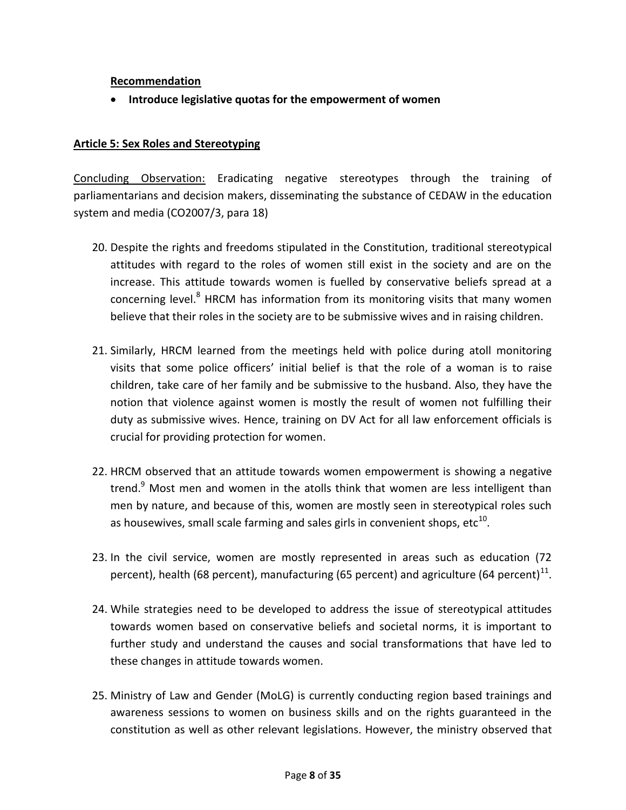## **Recommendation**

**Introduce legislative quotas for the empowerment of women**

### <span id="page-7-0"></span>**Article 5: Sex Roles and Stereotyping**

Concluding Observation: Eradicating negative stereotypes through the training of parliamentarians and decision makers, disseminating the substance of CEDAW in the education system and media (CO2007/3, para 18)

- 20. Despite the rights and freedoms stipulated in the Constitution, traditional stereotypical attitudes with regard to the roles of women still exist in the society and are on the increase. This attitude towards women is fuelled by conservative beliefs spread at a concerning level. $8$  HRCM has information from its monitoring visits that many women believe that their roles in the society are to be submissive wives and in raising children.
- 21. Similarly, HRCM learned from the meetings held with police during atoll monitoring visits that some police officers' initial belief is that the role of a woman is to raise children, take care of her family and be submissive to the husband. Also, they have the notion that violence against women is mostly the result of women not fulfilling their duty as submissive wives. Hence, training on DV Act for all law enforcement officials is crucial for providing protection for women.
- 22. HRCM observed that an attitude towards women empowerment is showing a negative trend.<sup>9</sup> Most men and women in the atolls think that women are less intelligent than men by nature, and because of this, women are mostly seen in stereotypical roles such as housewives, small scale farming and sales girls in convenient shops, etc $^{10}$ .
- 23. In the civil service, women are mostly represented in areas such as education (72 percent), health (68 percent), manufacturing (65 percent) and agriculture (64 percent)<sup>11</sup>.
- 24. While strategies need to be developed to address the issue of stereotypical attitudes towards women based on conservative beliefs and societal norms, it is important to further study and understand the causes and social transformations that have led to these changes in attitude towards women.
- 25. Ministry of Law and Gender (MoLG) is currently conducting region based trainings and awareness sessions to women on business skills and on the rights guaranteed in the constitution as well as other relevant legislations. However, the ministry observed that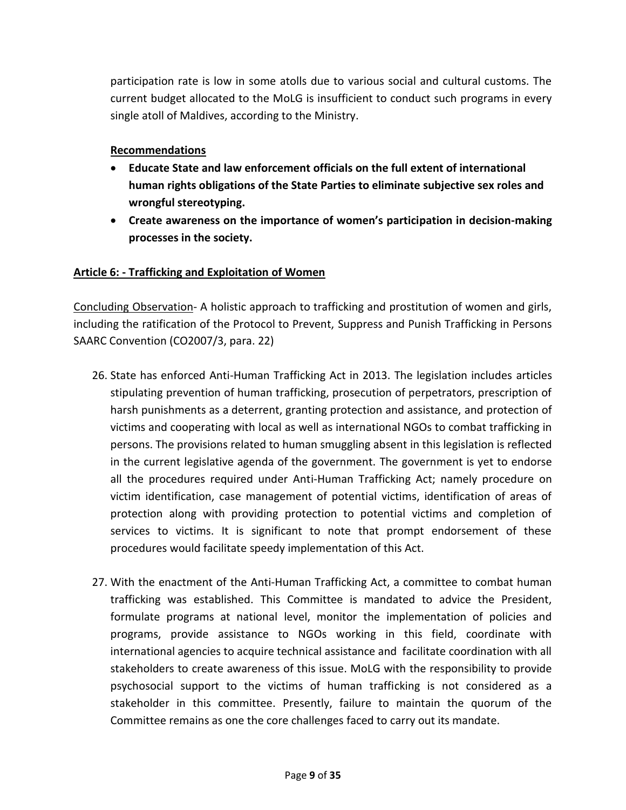participation rate is low in some atolls due to various social and cultural customs. The current budget allocated to the MoLG is insufficient to conduct such programs in every single atoll of Maldives, according to the Ministry.

# **Recommendations**

- **Educate State and law enforcement officials on the full extent of international human rights obligations of the State Parties to eliminate subjective sex roles and wrongful stereotyping.**
- **Create awareness on the importance of women's participation in decision-making processes in the society.**

# <span id="page-8-0"></span>**Article 6: - Trafficking and Exploitation of Women**

Concluding Observation- A holistic approach to trafficking and prostitution of women and girls, including the ratification of the Protocol to Prevent, Suppress and Punish Trafficking in Persons SAARC Convention (CO2007/3, para. 22)

- 26. State has enforced Anti-Human Trafficking Act in 2013. The legislation includes articles stipulating prevention of human trafficking, prosecution of perpetrators, prescription of harsh punishments as a deterrent, granting protection and assistance, and protection of victims and cooperating with local as well as international NGOs to combat trafficking in persons. The provisions related to human smuggling absent in this legislation is reflected in the current legislative agenda of the government. The government is yet to endorse all the procedures required under Anti-Human Trafficking Act; namely procedure on victim identification, case management of potential victims, identification of areas of protection along with providing protection to potential victims and completion of services to victims. It is significant to note that prompt endorsement of these procedures would facilitate speedy implementation of this Act.
- 27. With the enactment of the Anti-Human Trafficking Act, a committee to combat human trafficking was established. This Committee is mandated to advice the President, formulate programs at national level, monitor the implementation of policies and programs, provide assistance to NGOs working in this field, coordinate with international agencies to acquire technical assistance and facilitate coordination with all stakeholders to create awareness of this issue. MoLG with the responsibility to provide psychosocial support to the victims of human trafficking is not considered as a stakeholder in this committee. Presently, failure to maintain the quorum of the Committee remains as one the core challenges faced to carry out its mandate.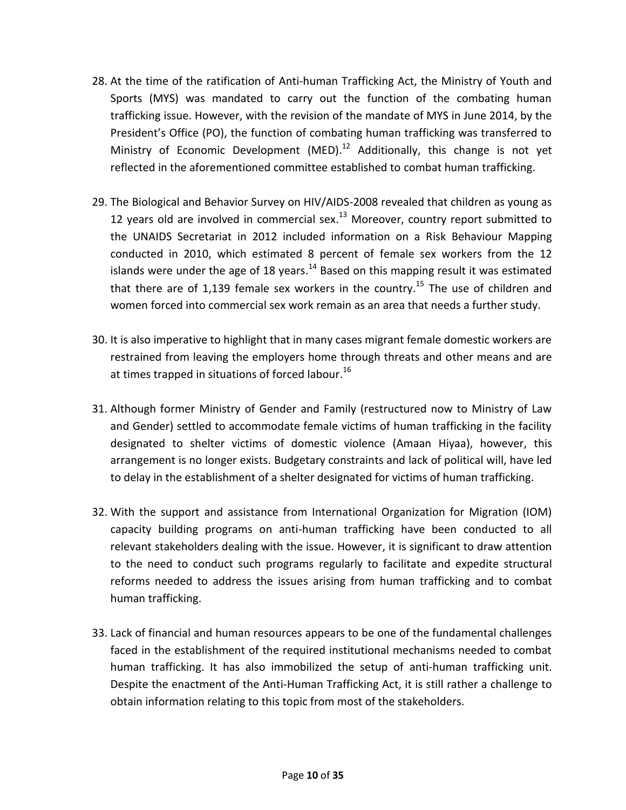- 28. At the time of the ratification of Anti-human Trafficking Act, the Ministry of Youth and Sports (MYS) was mandated to carry out the function of the combating human trafficking issue. However, with the revision of the mandate of MYS in June 2014, by the President's Office (PO), the function of combating human trafficking was transferred to Ministry of Economic Development (MED).<sup>12</sup> Additionally, this change is not yet reflected in the aforementioned committee established to combat human trafficking.
- 29. The Biological and Behavior Survey on HIV/AIDS-2008 revealed that children as young as 12 years old are involved in commercial sex. $^{13}$  Moreover, country report submitted to the UNAIDS Secretariat in 2012 included information on a Risk Behaviour Mapping conducted in 2010, which estimated 8 percent of female sex workers from the 12 islands were under the age of 18 years.<sup>14</sup> Based on this mapping result it was estimated that there are of 1,139 female sex workers in the country.<sup>15</sup> The use of children and women forced into commercial sex work remain as an area that needs a further study.
- 30. It is also imperative to highlight that in many cases migrant female domestic workers are restrained from leaving the employers home through threats and other means and are at times trapped in situations of forced labour.<sup>16</sup>
- 31. Although former Ministry of Gender and Family (restructured now to Ministry of Law and Gender) settled to accommodate female victims of human trafficking in the facility designated to shelter victims of domestic violence (Amaan Hiyaa), however, this arrangement is no longer exists. Budgetary constraints and lack of political will, have led to delay in the establishment of a shelter designated for victims of human trafficking.
- 32. With the support and assistance from International Organization for Migration (IOM) capacity building programs on anti-human trafficking have been conducted to all relevant stakeholders dealing with the issue. However, it is significant to draw attention to the need to conduct such programs regularly to facilitate and expedite structural reforms needed to address the issues arising from human trafficking and to combat human trafficking.
- 33. Lack of financial and human resources appears to be one of the fundamental challenges faced in the establishment of the required institutional mechanisms needed to combat human trafficking. It has also immobilized the setup of anti-human trafficking unit. Despite the enactment of the Anti-Human Trafficking Act, it is still rather a challenge to obtain information relating to this topic from most of the stakeholders.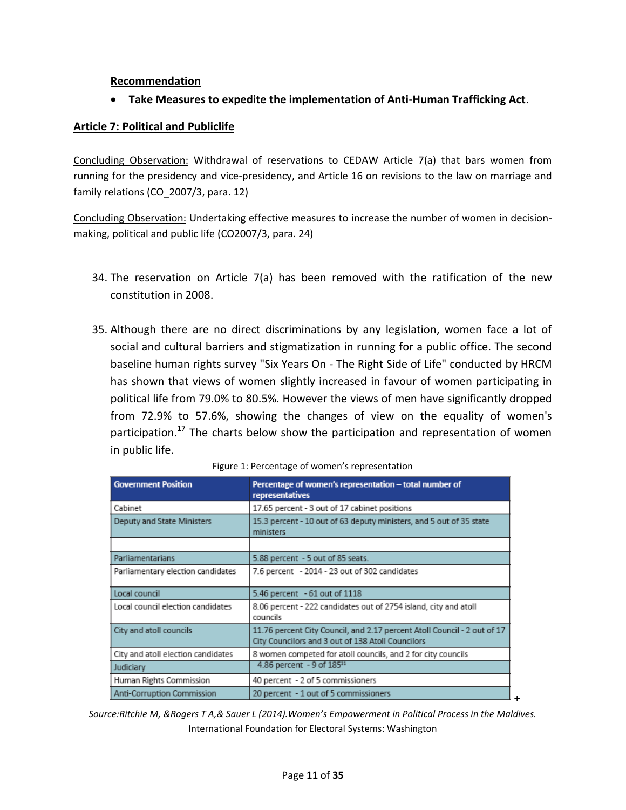#### **Recommendation**

**Take Measures to expedite the implementation of Anti-Human Trafficking Act**.

## <span id="page-10-0"></span>**Article 7: Political and Publiclife**

Concluding Observation: Withdrawal of reservations to CEDAW Article 7(a) that bars women from running for the presidency and vice-presidency, and Article 16 on revisions to the law on marriage and family relations (CO\_2007/3, para. 12)

Concluding Observation: Undertaking effective measures to increase the number of women in decisionmaking, political and public life (CO2007/3, para. 24)

- 34. The reservation on Article 7(a) has been removed with the ratification of the new constitution in 2008.
- 35. Although there are no direct discriminations by any legislation, women face a lot of social and cultural barriers and stigmatization in running for a public office. The second baseline human rights survey "Six Years On - The Right Side of Life" conducted by HRCM has shown that views of women slightly increased in favour of women participating in political life from 79.0% to 80.5%. However the views of men have significantly dropped from 72.9% to 57.6%, showing the changes of view on the equality of women's participation.<sup>17</sup> The charts below show the participation and representation of women in public life.

| <b>Government Position</b>         | Percentage of women's representation - total number of<br>representatives                                                     |
|------------------------------------|-------------------------------------------------------------------------------------------------------------------------------|
| Cabinet                            | 17.65 percent - 3 out of 17 cabinet positions                                                                                 |
| Deputy and State Ministers         | 15.3 percent - 10 out of 63 deputy ministers, and 5 out of 35 state<br>ministers                                              |
|                                    |                                                                                                                               |
| Parliamentarians                   | 5.88 percent - 5 out of 85 seats.                                                                                             |
| Parliamentary election candidates  | 7.6 percent - 2014 - 23 out of 302 candidates                                                                                 |
| Local council                      | 5.46 percent - 61 out of 1118                                                                                                 |
| Local council election candidates  | 8.06 percent - 222 candidates out of 2754 island, city and atoll<br>councils                                                  |
| City and atoll councils            | 11.76 percent City Council, and 2.17 percent Atoll Council - 2 out of 17<br>City Councilors and 3 out of 138 Atoll Councilors |
| City and atoll election candidates | 8 women competed for atoll councils, and 2 for city councils                                                                  |
| Judiciary                          | 4.86 percent - 9 of 18521                                                                                                     |
| Human Rights Commission            | 40 percent - 2 of 5 commissioners                                                                                             |
| Anti-Corruption Commission         | 20 percent - 1 out of 5 commissioners                                                                                         |

*Source:Ritchie M, &Rogers T A,& Sauer L (2014).Women's Empowerment in Political Process in the Maldives.*  International Foundation for Electoral Systems: Washington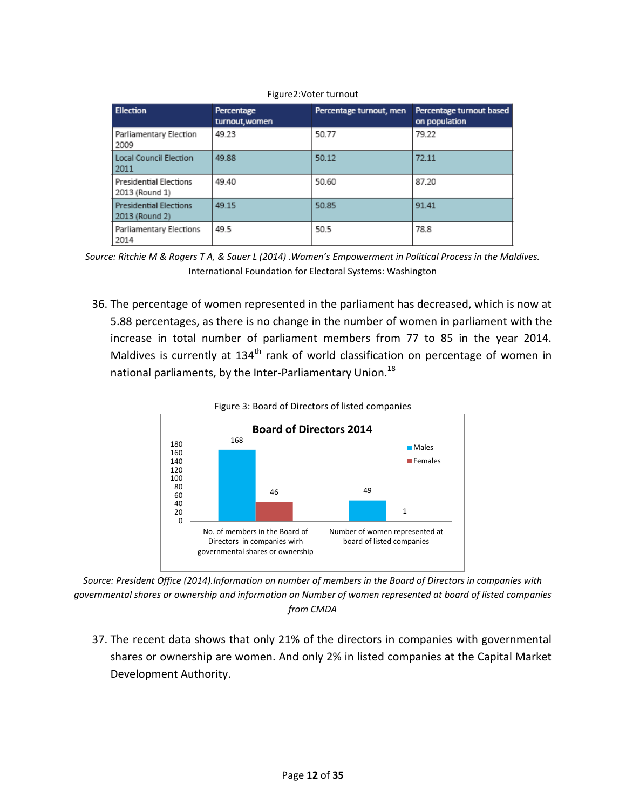| <b>Ellection</b>                                | Percentage<br>turnout, women | Percentage turnout, men | Percentage turnout based<br>on population |
|-------------------------------------------------|------------------------------|-------------------------|-------------------------------------------|
| Parliamentary Election<br>2009                  | 49 23                        | 50.77                   | 79.22                                     |
| Local Council Election<br>2011                  | 49.88                        | 50.12                   | 72.11                                     |
| <b>Presidential Elections</b><br>2013 (Round 1) | 49.40                        | 50.60                   | 87.20                                     |
| <b>Presidential Elections</b><br>2013 (Round 2) | 49.15                        | 50.85                   | 91.41                                     |
| Parliamentary Elections<br>2014                 | 49.5                         | 50.5                    | 78.8                                      |

#### Figure2:Voter turnout

*Source: Ritchie M & Rogers T A, & Sauer L (2014) .Women's Empowerment in Political Process in the Maldives.*  International Foundation for Electoral Systems: Washington

36. The percentage of women represented in the parliament has decreased, which is now at 5.88 percentages, as there is no change in the number of women in parliament with the increase in total number of parliament members from 77 to 85 in the year 2014. Maldives is currently at  $134<sup>th</sup>$  rank of world classification on percentage of women in national parliaments, by the Inter-Parliamentary Union.<sup>18</sup>



*Source: President Office (2014).Information on number of members in the Board of Directors in companies with governmental shares or ownership and information on Number of women represented at board of listed companies from CMDA*

37. The recent data shows that only 21% of the directors in companies with governmental shares or ownership are women. And only 2% in listed companies at the Capital Market Development Authority.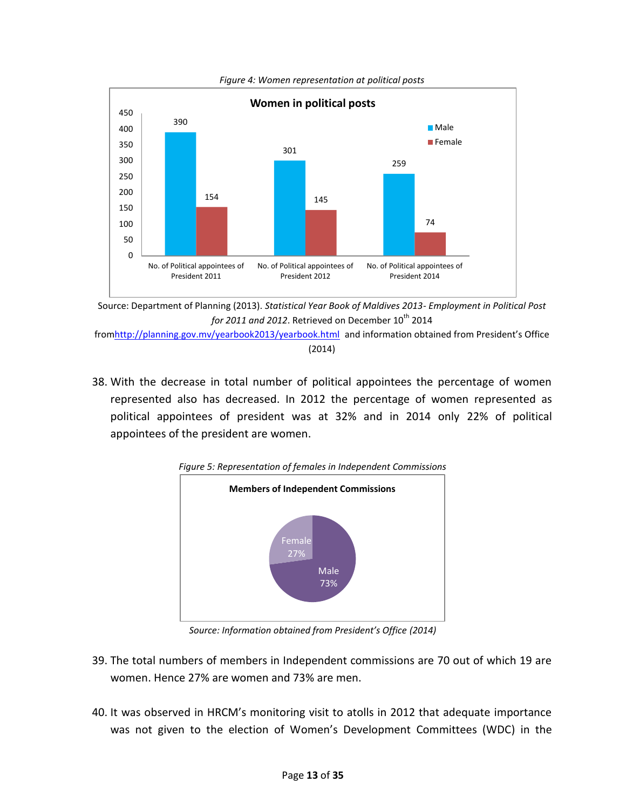

*Figure 4: Women representation at political posts*

Source: Department of Planning (2013). *Statistical Year Book of Maldives 2013- Employment in Political Post*   $for 2011$  and 2012. Retrieved on December  $10^{th}$  2014

fro[mhttp://planning.gov.mv/yearbook2013/yearbook.html](http://planning.gov.mv/yearbook2013/yearbook.html) and information obtained from President's Office (2014)

38. With the decrease in total number of political appointees the percentage of women represented also has decreased. In 2012 the percentage of women represented as political appointees of president was at 32% and in 2014 only 22% of political appointees of the president are women.



*Figure 5: Representation of females in Independent Commissions*

*Source: Information obtained from President's Office (2014)*

- 39. The total numbers of members in Independent commissions are 70 out of which 19 are women. Hence 27% are women and 73% are men.
- 40. It was observed in HRCM's monitoring visit to atolls in 2012 that adequate importance was not given to the election of Women's Development Committees (WDC) in the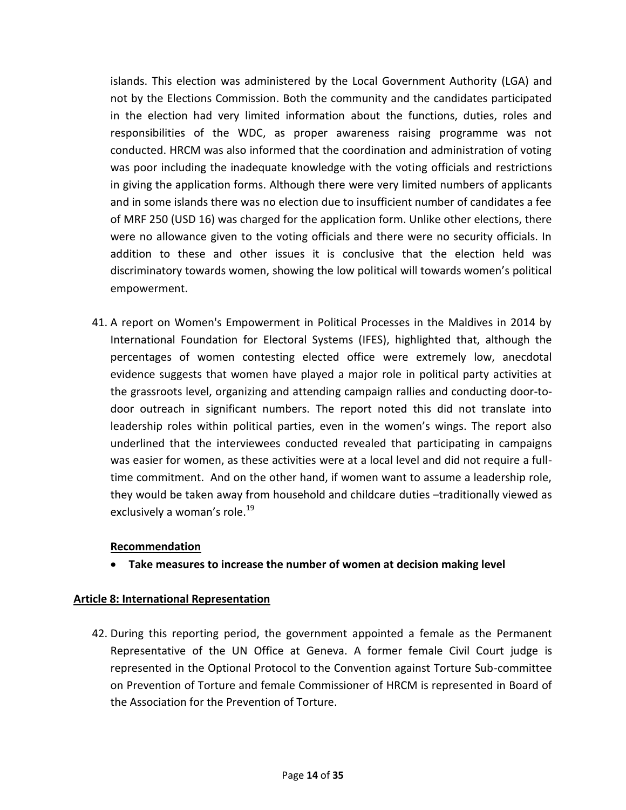islands. This election was administered by the Local Government Authority (LGA) and not by the Elections Commission. Both the community and the candidates participated in the election had very limited information about the functions, duties, roles and responsibilities of the WDC, as proper awareness raising programme was not conducted. HRCM was also informed that the coordination and administration of voting was poor including the inadequate knowledge with the voting officials and restrictions in giving the application forms. Although there were very limited numbers of applicants and in some islands there was no election due to insufficient number of candidates a fee of MRF 250 (USD 16) was charged for the application form. Unlike other elections, there were no allowance given to the voting officials and there were no security officials. In addition to these and other issues it is conclusive that the election held was discriminatory towards women, showing the low political will towards women's political empowerment.

41. A report on Women's Empowerment in Political Processes in the Maldives in 2014 by International Foundation for Electoral Systems (IFES), highlighted that, although the percentages of women contesting elected office were extremely low, anecdotal evidence suggests that women have played a major role in political party activities at the grassroots level, organizing and attending campaign rallies and conducting door-todoor outreach in significant numbers. The report noted this did not translate into leadership roles within political parties, even in the women's wings. The report also underlined that the interviewees conducted revealed that participating in campaigns was easier for women, as these activities were at a local level and did not require a fulltime commitment. And on the other hand, if women want to assume a leadership role, they would be taken away from household and childcare duties –traditionally viewed as exclusively a woman's role.<sup>19</sup>

### **Recommendation**

**Take measures to increase the number of women at decision making level**

### <span id="page-13-0"></span>**Article 8: International Representation**

42. During this reporting period, the government appointed a female as the Permanent Representative of the UN Office at Geneva. A former female Civil Court judge is represented in the Optional Protocol to the Convention against Torture Sub-committee on Prevention of Torture and female Commissioner of HRCM is represented in Board of the Association for the Prevention of Torture.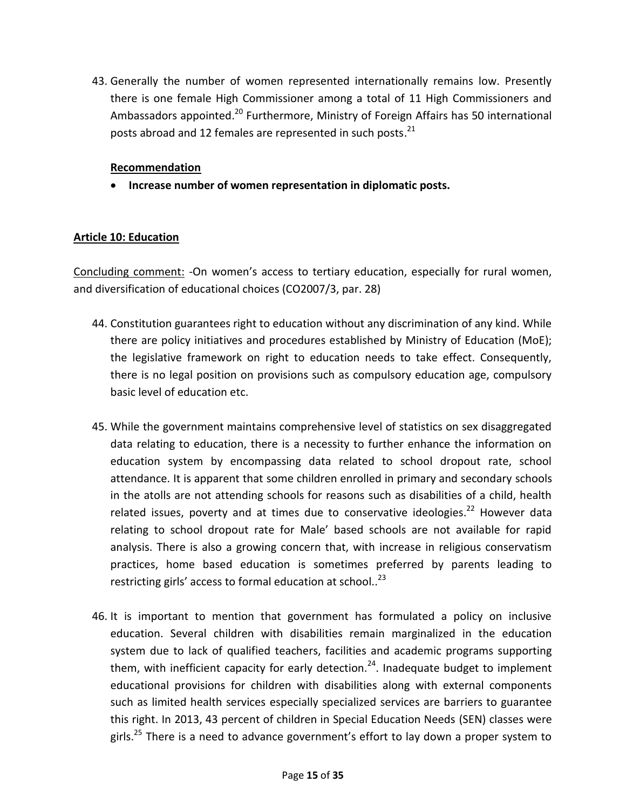43. Generally the number of women represented internationally remains low. Presently there is one female High Commissioner among a total of 11 High Commissioners and Ambassadors appointed.<sup>20</sup> Furthermore, Ministry of Foreign Affairs has 50 international posts abroad and 12 females are represented in such posts.<sup>21</sup>

## **Recommendation**

**Increase number of women representation in diplomatic posts.**

## <span id="page-14-0"></span>**Article 10: Education**

Concluding comment: -On women's access to tertiary education, especially for rural women, and diversification of educational choices (CO2007/3, par. 28)

- 44. Constitution guarantees right to education without any discrimination of any kind. While there are policy initiatives and procedures established by Ministry of Education (MoE); the legislative framework on right to education needs to take effect. Consequently, there is no legal position on provisions such as compulsory education age, compulsory basic level of education etc.
- 45. While the government maintains comprehensive level of statistics on sex disaggregated data relating to education, there is a necessity to further enhance the information on education system by encompassing data related to school dropout rate, school attendance. It is apparent that some children enrolled in primary and secondary schools in the atolls are not attending schools for reasons such as disabilities of a child, health related issues, poverty and at times due to conservative ideologies.<sup>22</sup> However data relating to school dropout rate for Male' based schools are not available for rapid analysis. There is also a growing concern that, with increase in religious conservatism practices, home based education is sometimes preferred by parents leading to restricting girls' access to formal education at school..<sup>23</sup>
- 46. It is important to mention that government has formulated a policy on inclusive education. Several children with disabilities remain marginalized in the education system due to lack of qualified teachers, facilities and academic programs supporting them, with inefficient capacity for early detection.<sup>24</sup>. Inadequate budget to implement educational provisions for children with disabilities along with external components such as limited health services especially specialized services are barriers to guarantee this right. In 2013, 43 percent of children in Special Education Needs (SEN) classes were girls.<sup>25</sup> There is a need to advance government's effort to lay down a proper system to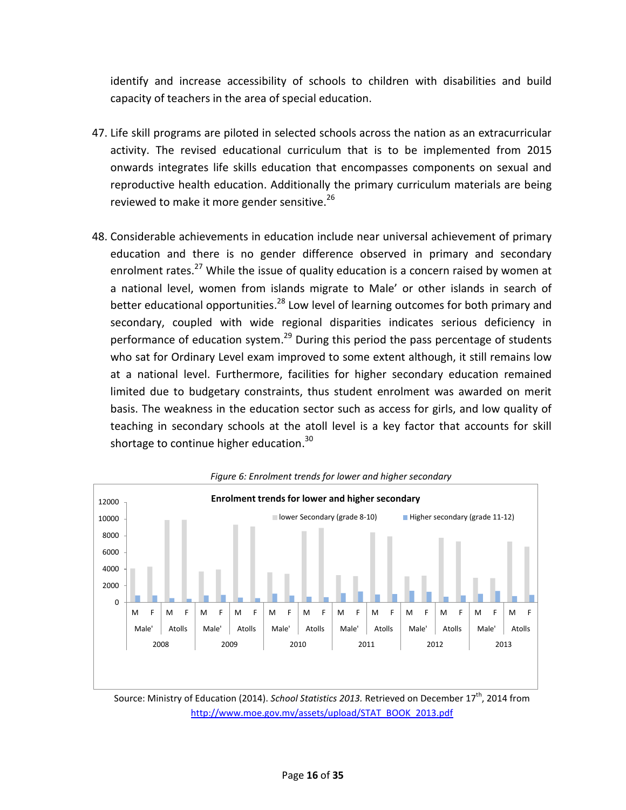identify and increase accessibility of schools to children with disabilities and build capacity of teachers in the area of special education.

- 47. Life skill programs are piloted in selected schools across the nation as an extracurricular activity. The revised educational curriculum that is to be implemented from 2015 onwards integrates life skills education that encompasses components on sexual and reproductive health education. Additionally the primary curriculum materials are being reviewed to make it more gender sensitive.<sup>26</sup>
- 48. Considerable achievements in education include near universal achievement of primary education and there is no gender difference observed in primary and secondary enrolment rates.<sup>27</sup> While the issue of quality education is a concern raised by women at a national level, women from islands migrate to Male' or other islands in search of better educational opportunities.<sup>28</sup> Low level of learning outcomes for both primary and secondary, coupled with wide regional disparities indicates serious deficiency in performance of education system.<sup>29</sup> During this period the pass percentage of students who sat for Ordinary Level exam improved to some extent although, it still remains low at a national level. Furthermore, facilities for higher secondary education remained limited due to budgetary constraints, thus student enrolment was awarded on merit basis. The weakness in the education sector such as access for girls, and low quality of teaching in secondary schools at the atoll level is a key factor that accounts for skill shortage to continue higher education.<sup>30</sup>



*Figure 6: Enrolment trends for lower and higher secondary*

Source: Ministry of Education (2014). *School Statistics 2013.* Retrieved on December 17<sup>th</sup>, 2014 from [http://www.moe.gov.mv/assets/upload/STAT\\_BOOK\\_2013.pdf](http://www.moe.gov.mv/assets/upload/STAT_BOOK_2013.pdf)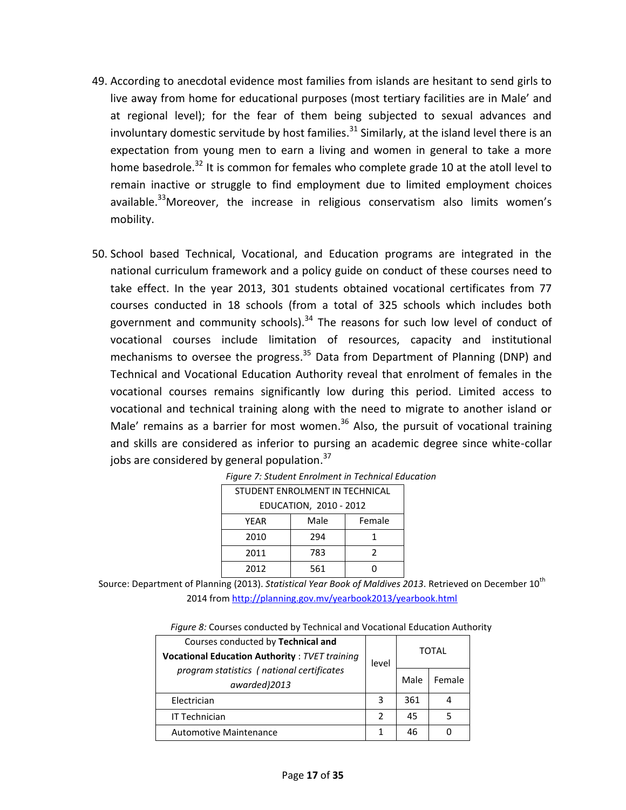- 49. According to anecdotal evidence most families from islands are hesitant to send girls to live away from home for educational purposes (most tertiary facilities are in Male' and at regional level); for the fear of them being subjected to sexual advances and involuntary domestic servitude by host families.<sup>31</sup> Similarly, at the island level there is an expectation from young men to earn a living and women in general to take a more home basedrole.<sup>32</sup> It is common for females who complete grade 10 at the atoll level to remain inactive or struggle to find employment due to limited employment choices available.<sup>33</sup>Moreover, the increase in religious conservatism also limits women's mobility.
- 50. School based Technical, Vocational, and Education programs are integrated in the national curriculum framework and a policy guide on conduct of these courses need to take effect. In the year 2013, 301 students obtained vocational certificates from 77 courses conducted in 18 schools (from a total of 325 schools which includes both government and community schools).<sup>34</sup> The reasons for such low level of conduct of vocational courses include limitation of resources, capacity and institutional mechanisms to oversee the progress.<sup>35</sup> Data from Department of Planning (DNP) and Technical and Vocational Education Authority reveal that enrolment of females in the vocational courses remains significantly low during this period. Limited access to vocational and technical training along with the need to migrate to another island or Male' remains as a barrier for most women.<sup>36</sup> Also, the pursuit of vocational training and skills are considered as inferior to pursing an academic degree since white-collar jobs are considered by general population.<sup>37</sup>

| STUDENT ENROLMENT IN TECHNICAL |     |   |  |
|--------------------------------|-----|---|--|
| EDUCATION, 2010 - 2012         |     |   |  |
| Male<br>Female<br>YEAR         |     |   |  |
| 2010                           | 294 |   |  |
| 2011                           | 783 | 2 |  |
| 2012                           | 561 |   |  |

|  |  |  | Figure 7: Student Enrolment in Technical Education |
|--|--|--|----------------------------------------------------|
|  |  |  |                                                    |

Source: Department of Planning (2013). *Statistical Year Book of Maldives 2013*. Retrieved on December 10<sup>th</sup> 2014 from<http://planning.gov.mv/yearbook2013/yearbook.html>

| Figure 8: Courses conducted by Technical and Vocational Education Authority |  |
|-----------------------------------------------------------------------------|--|
|-----------------------------------------------------------------------------|--|

| Courses conducted by Technical and<br><b>Vocational Education Authority: TVET training</b> | level         |      | <b>TOTAL</b> |
|--------------------------------------------------------------------------------------------|---------------|------|--------------|
| program statistics (national certificates<br>awarded)2013                                  |               | Male | Female       |
| Electrician                                                                                | 3             | 361  |              |
| <b>IT Technician</b>                                                                       | $\mathcal{P}$ | 45   |              |
| <b>Automotive Maintenance</b>                                                              |               | 46   |              |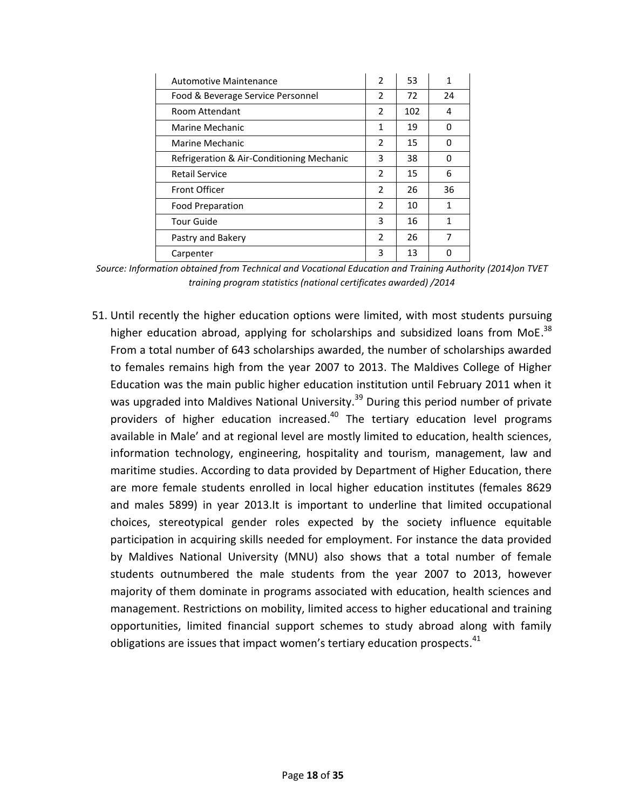| Automotive Maintenance                    | $\overline{2}$ | 53  | 1  |
|-------------------------------------------|----------------|-----|----|
| Food & Beverage Service Personnel         | $\overline{2}$ | 72  | 24 |
| Room Attendant                            | 2              | 102 | 4  |
| Marine Mechanic                           | 1              | 19  | 0  |
| Marine Mechanic                           | $\overline{2}$ | 15  | 0  |
| Refrigeration & Air-Conditioning Mechanic | 3              | 38  | 0  |
| <b>Retail Service</b>                     | $\mathcal{P}$  | 15  | 6  |
| Front Officer                             | 2              | 26  | 36 |
| <b>Food Preparation</b>                   | $\overline{2}$ | 10  | 1  |
| <b>Tour Guide</b>                         | 3              | 16  | 1  |
| Pastry and Bakery                         | $\mathfrak{p}$ | 26  | 7  |
| Carpenter                                 | 3              | 13  | n  |

*Source: Information obtained from Technical and Vocational Education and Training Authority (2014)on TVET training program statistics (national certificates awarded) /2014*

51. Until recently the higher education options were limited, with most students pursuing higher education abroad, applying for scholarships and subsidized loans from MoE. $^{38}$ From a total number of 643 scholarships awarded, the number of scholarships awarded to females remains high from the year 2007 to 2013. The Maldives College of Higher Education was the main public higher education institution until February 2011 when it was upgraded into Maldives National University.<sup>39</sup> During this period number of private providers of higher education increased.<sup>40</sup> The tertiary education level programs available in Male' and at regional level are mostly limited to education, health sciences, information technology, engineering, hospitality and tourism, management, law and maritime studies. According to data provided by Department of Higher Education, there are more female students enrolled in local higher education institutes (females 8629 and males 5899) in year 2013.It is important to underline that limited occupational choices, stereotypical gender roles expected by the society influence equitable participation in acquiring skills needed for employment. For instance the data provided by Maldives National University (MNU) also shows that a total number of female students outnumbered the male students from the year 2007 to 2013, however majority of them dominate in programs associated with education, health sciences and management. Restrictions on mobility, limited access to higher educational and training opportunities, limited financial support schemes to study abroad along with family obligations are issues that impact women's tertiary education prospects. $^{41}$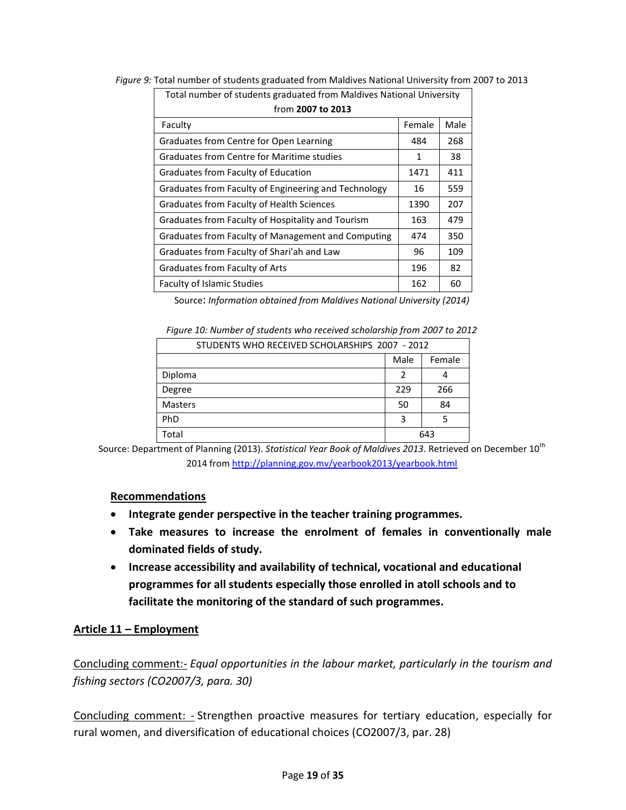| Total number of students graduated from Maldives National University |        |      |  |
|----------------------------------------------------------------------|--------|------|--|
| from 2007 to 2013                                                    |        |      |  |
| Faculty                                                              | Female | Male |  |
| Graduates from Centre for Open Learning                              | 484    | 268  |  |
| Graduates from Centre for Maritime studies                           | 1      | 38   |  |
| Graduates from Faculty of Education                                  | 1471   | 411  |  |
| Graduates from Faculty of Engineering and Technology                 | 16     | 559  |  |
| Graduates from Faculty of Health Sciences                            | 1390   | 207  |  |
| Graduates from Faculty of Hospitality and Tourism                    | 163    | 479  |  |
| Graduates from Faculty of Management and Computing                   | 474    | 350  |  |
| Graduates from Faculty of Shari'ah and Law                           | 96     | 109  |  |
| Graduates from Faculty of Arts                                       | 196    | 82   |  |
| <b>Faculty of Islamic Studies</b>                                    | 162    | 60   |  |

*Figure 9:* Total number of students graduated from Maldives National University from 2007 to 2013

Source: *Information obtained from Maldives National University (2014)* 

*Figure 10: Number of students who received scholarship from 2007 to 2012*

| STUDENTS WHO RECEIVED SCHOLARSHIPS 2007 - 2012 |     |     |  |  |
|------------------------------------------------|-----|-----|--|--|
| Male<br>Female                                 |     |     |  |  |
| Diploma                                        | 2   |     |  |  |
| Degree                                         | 229 | 266 |  |  |
| <b>Masters</b>                                 | 50  | 84  |  |  |
| PhD                                            | з   |     |  |  |
| Total                                          | 643 |     |  |  |

Source: Department of Planning (2013). *Statistical Year Book of Maldives 2013*. Retrieved on December 10<sup>th</sup> 2014 from<http://planning.gov.mv/yearbook2013/yearbook.html>

### **Recommendations**

- **Integrate gender perspective in the teacher training programmes.**
- **Take measures to increase the enrolment of females in conventionally male dominated fields of study.**
- **Increase accessibility and availability of technical, vocational and educational programmes for all students especially those enrolled in atoll schools and to facilitate the monitoring of the standard of such programmes.**

### <span id="page-18-0"></span>**Article 11 – Employment**

Concluding comment:- *Equal opportunities in the labour market, particularly in the tourism and fishing sectors (CO2007/3, para. 30)*

Concluding comment: - Strengthen proactive measures for tertiary education, especially for rural women, and diversification of educational choices (CO2007/3, par. 28)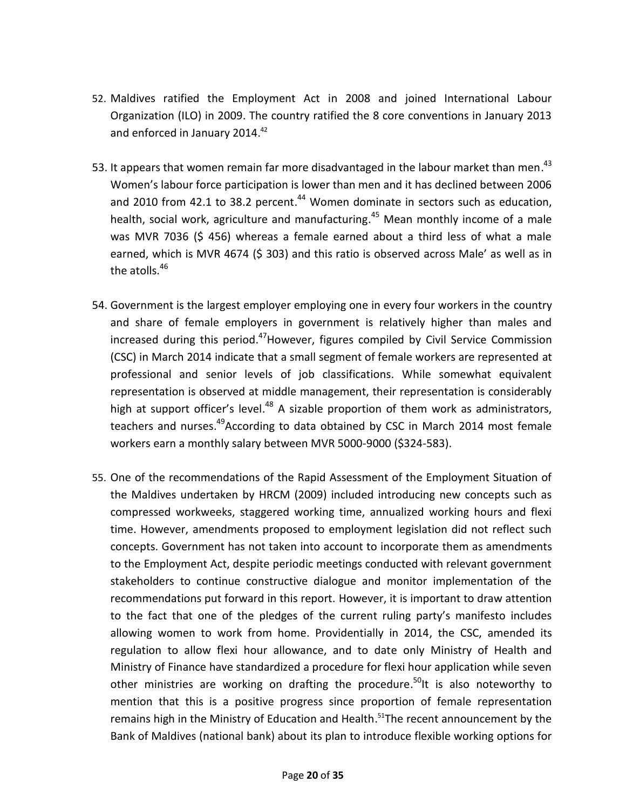- 52. Maldives ratified the Employment Act in 2008 and joined International Labour Organization (ILO) in 2009. The country ratified the 8 core conventions in January 2013 and enforced in January 2014.<sup>42</sup>
- 53. It appears that women remain far more disadvantaged in the labour market than men.<sup>43</sup> Women's labour force participation is lower than men and it has declined between 2006 and 2010 from 42.1 to 38.2 percent.<sup>44</sup> Women dominate in sectors such as education, health, social work, agriculture and manufacturing.<sup>45</sup> Mean monthly income of a male was MVR 7036 (\$ 456) whereas a female earned about a third less of what a male earned, which is MVR 4674 (\$ 303) and this ratio is observed across Male' as well as in the atolls.<sup>46</sup>
- 54. Government is the largest employer employing one in every four workers in the country and share of female employers in government is relatively higher than males and increased during this period.<sup>47</sup>However, figures compiled by Civil Service Commission (CSC) in March 2014 indicate that a small segment of female workers are represented at professional and senior levels of job classifications. While somewhat equivalent representation is observed at middle management, their representation is considerably high at support officer's level.<sup>48</sup> A sizable proportion of them work as administrators, teachers and nurses.<sup>49</sup>According to data obtained by CSC in March 2014 most female workers earn a monthly salary between MVR 5000-9000 (\$324-583).
- 55. One of the recommendations of the Rapid Assessment of the Employment Situation of the Maldives undertaken by HRCM (2009) included introducing new concepts such as compressed workweeks, staggered working time, annualized working hours and flexi time. However, amendments proposed to employment legislation did not reflect such concepts. Government has not taken into account to incorporate them as amendments to the Employment Act, despite periodic meetings conducted with relevant government stakeholders to continue constructive dialogue and monitor implementation of the recommendations put forward in this report. However, it is important to draw attention to the fact that one of the pledges of the current ruling party's manifesto includes allowing women to work from home. Providentially in 2014, the CSC, amended its regulation to allow flexi hour allowance, and to date only Ministry of Health and Ministry of Finance have standardized a procedure for flexi hour application while seven other ministries are working on drafting the procedure.<sup>50</sup>lt is also noteworthy to mention that this is a positive progress since proportion of female representation remains high in the Ministry of Education and Health.<sup>51</sup>The recent announcement by the Bank of Maldives (national bank) about its plan to introduce flexible working options for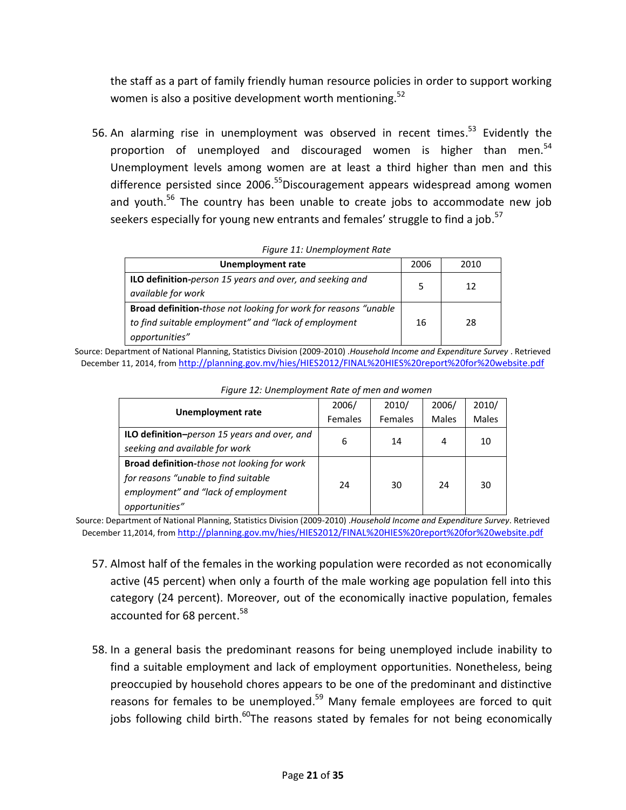the staff as a part of family friendly human resource policies in order to support working women is also a positive development worth mentioning.<sup>52</sup>

56. An alarming rise in unemployment was observed in recent times.<sup>53</sup> Evidently the proportion of unemployed and discouraged women is higher than men.<sup>54</sup> Unemployment levels among women are at least a third higher than men and this difference persisted since 2006.<sup>55</sup>Discouragement appears widespread among women and youth.<sup>56</sup> The country has been unable to create jobs to accommodate new job seekers especially for young new entrants and females' struggle to find a job.<sup>57</sup>

| <i>rigare 11. Onemployment nate</i>                                                                                                                |      |      |
|----------------------------------------------------------------------------------------------------------------------------------------------------|------|------|
| Unemployment rate                                                                                                                                  | 2006 | 2010 |
| <b>ILO definition-person 15 years and over, and seeking and</b><br>available for work                                                              |      | 12   |
| <b>Broad definition-those not looking for work for reasons "unable"</b><br>to find suitable employment" and "lack of employment"<br>opportunities" | 16   | 28   |

*Figure 11: Unemployment Rate* 

Source: Department of National Planning, Statistics Division (2009-2010) .*Household Income and Expenditure Survey* . Retrieved December 11, 2014, from <http://planning.gov.mv/hies/HIES2012/FINAL%20HIES%20report%20for%20website.pdf>

|                                                    | 2006/   | 2010/   | 2006/        | 2010/        |
|----------------------------------------------------|---------|---------|--------------|--------------|
| <b>Unemployment rate</b>                           | Females | Females | <b>Males</b> | <b>Males</b> |
| ILO definition-person 15 years and over, and       | 6       | 14      | 4            | 10           |
| seeking and available for work                     |         |         |              |              |
| <b>Broad definition-those not looking for work</b> |         |         |              |              |
| for reasons "unable to find suitable               | 24      | 30      | 24           | 30           |
| employment" and "lack of employment                |         |         |              |              |
| opportunities"                                     |         |         |              |              |

*Figure 12: Unemployment Rate of men and women*

Source: Department of National Planning, Statistics Division (2009-2010) .*Household Income and Expenditure Survey*. Retrieved December 11,2014, from <http://planning.gov.mv/hies/HIES2012/FINAL%20HIES%20report%20for%20website.pdf>

- 57. Almost half of the females in the working population were recorded as not economically active (45 percent) when only a fourth of the male working age population fell into this category (24 percent). Moreover, out of the economically inactive population, females accounted for 68 percent.<sup>58</sup>
- 58. In a general basis the predominant reasons for being unemployed include inability to find a suitable employment and lack of employment opportunities. Nonetheless, being preoccupied by household chores appears to be one of the predominant and distinctive reasons for females to be unemployed.<sup>59</sup> Many female employees are forced to quit jobs following child birth.<sup>60</sup>The reasons stated by females for not being economically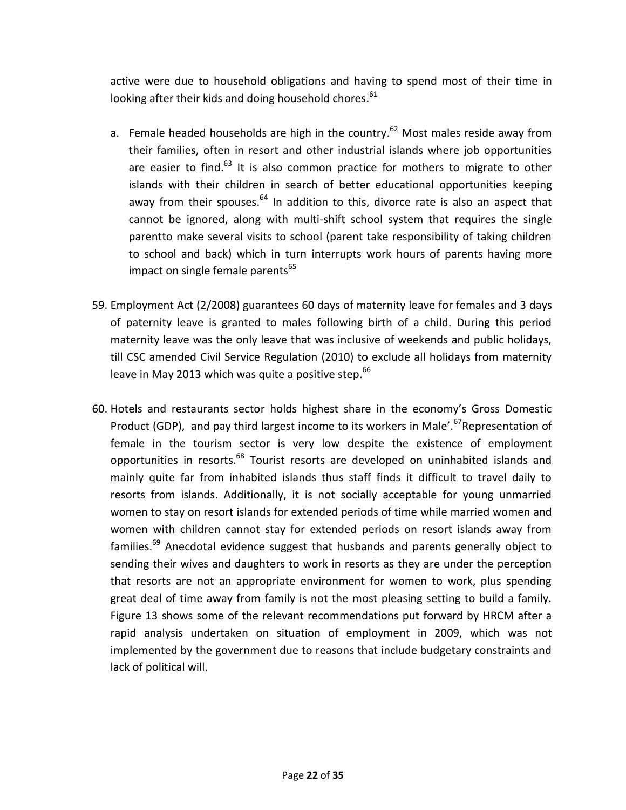active were due to household obligations and having to spend most of their time in looking after their kids and doing household chores.<sup>61</sup>

- a. Female headed households are high in the country.<sup>62</sup> Most males reside away from their families, often in resort and other industrial islands where job opportunities are easier to find.<sup>63</sup> It is also common practice for mothers to migrate to other islands with their children in search of better educational opportunities keeping away from their spouses.<sup>64</sup> In addition to this, divorce rate is also an aspect that cannot be ignored, along with multi-shift school system that requires the single parentto make several visits to school (parent take responsibility of taking children to school and back) which in turn interrupts work hours of parents having more impact on single female parents<sup>65</sup>
- 59. Employment Act (2/2008) guarantees 60 days of maternity leave for females and 3 days of paternity leave is granted to males following birth of a child. During this period maternity leave was the only leave that was inclusive of weekends and public holidays, till CSC amended Civil Service Regulation (2010) to exclude all holidays from maternity leave in May 2013 which was quite a positive step. $^{66}$
- 60. Hotels and restaurants sector holds highest share in the economy's Gross Domestic Product (GDP), and pay third largest income to its workers in Male'.<sup>67</sup>Representation of female in the tourism sector is very low despite the existence of employment opportunities in resorts.<sup>68</sup> Tourist resorts are developed on uninhabited islands and mainly quite far from inhabited islands thus staff finds it difficult to travel daily to resorts from islands. Additionally, it is not socially acceptable for young unmarried women to stay on resort islands for extended periods of time while married women and women with children cannot stay for extended periods on resort islands away from families.<sup>69</sup> Anecdotal evidence suggest that husbands and parents generally object to sending their wives and daughters to work in resorts as they are under the perception that resorts are not an appropriate environment for women to work, plus spending great deal of time away from family is not the most pleasing setting to build a family. Figure 13 shows some of the relevant recommendations put forward by HRCM after a rapid analysis undertaken on situation of employment in 2009, which was not implemented by the government due to reasons that include budgetary constraints and lack of political will.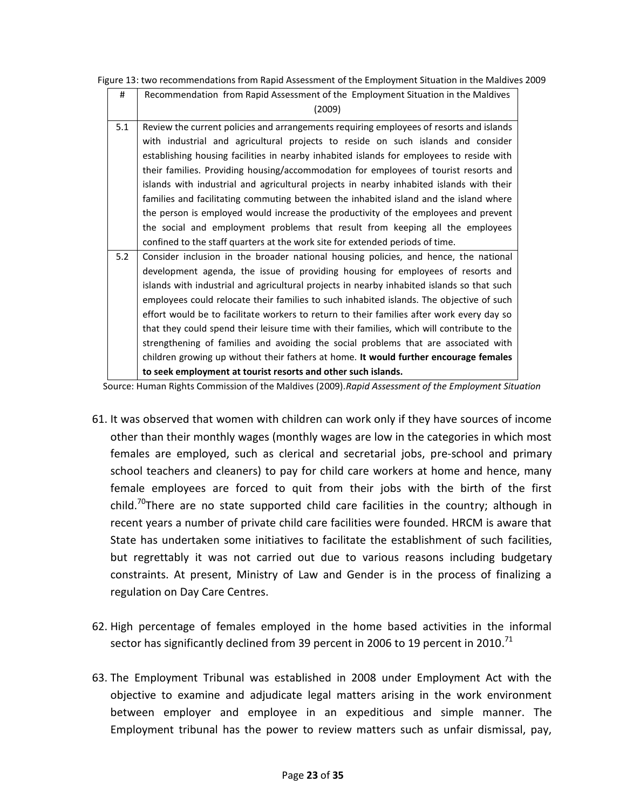Figure 13: two recommendations from Rapid Assessment of the Employment Situation in the Maldives 2009

| #   | Recommendation from Rapid Assessment of the Employment Situation in the Maldives           |
|-----|--------------------------------------------------------------------------------------------|
|     | (2009)                                                                                     |
| 5.1 | Review the current policies and arrangements requiring employees of resorts and islands    |
|     | with industrial and agricultural projects to reside on such islands and consider           |
|     | establishing housing facilities in nearby inhabited islands for employees to reside with   |
|     | their families. Providing housing/accommodation for employees of tourist resorts and       |
|     | islands with industrial and agricultural projects in nearby inhabited islands with their   |
|     | families and facilitating commuting between the inhabited island and the island where      |
|     | the person is employed would increase the productivity of the employees and prevent        |
|     | the social and employment problems that result from keeping all the employees              |
|     | confined to the staff quarters at the work site for extended periods of time.              |
| 5.2 | Consider inclusion in the broader national housing policies, and hence, the national       |
|     | development agenda, the issue of providing housing for employees of resorts and            |
|     | islands with industrial and agricultural projects in nearby inhabited islands so that such |
|     | employees could relocate their families to such inhabited islands. The objective of such   |
|     | effort would be to facilitate workers to return to their families after work every day so  |
|     | that they could spend their leisure time with their families, which will contribute to the |
|     | strengthening of families and avoiding the social problems that are associated with        |
|     | children growing up without their fathers at home. It would further encourage females      |
|     | to seek employment at tourist resorts and other such islands.                              |

Source: Human Rights Commission of the Maldives (2009).*Rapid Assessment of the Employment Situation*

- 61. It was observed that women with children can work only if they have sources of income other than their monthly wages (monthly wages are low in the categories in which most females are employed, such as clerical and secretarial jobs, pre‐school and primary school teachers and cleaners) to pay for child care workers at home and hence, many female employees are forced to quit from their jobs with the birth of the first child.<sup>70</sup>There are no state supported child care facilities in the country; although in recent years a number of private child care facilities were founded. HRCM is aware that State has undertaken some initiatives to facilitate the establishment of such facilities, but regrettably it was not carried out due to various reasons including budgetary constraints. At present, Ministry of Law and Gender is in the process of finalizing a regulation on Day Care Centres.
- 62. High percentage of females employed in the home based activities in the informal sector has significantly declined from 39 percent in 2006 to 19 percent in 2010. $^{71}$
- 63. The Employment Tribunal was established in 2008 under Employment Act with the objective to examine and adjudicate legal matters arising in the work environment between employer and employee in an expeditious and simple manner. The Employment tribunal has the power to review matters such as unfair dismissal, pay,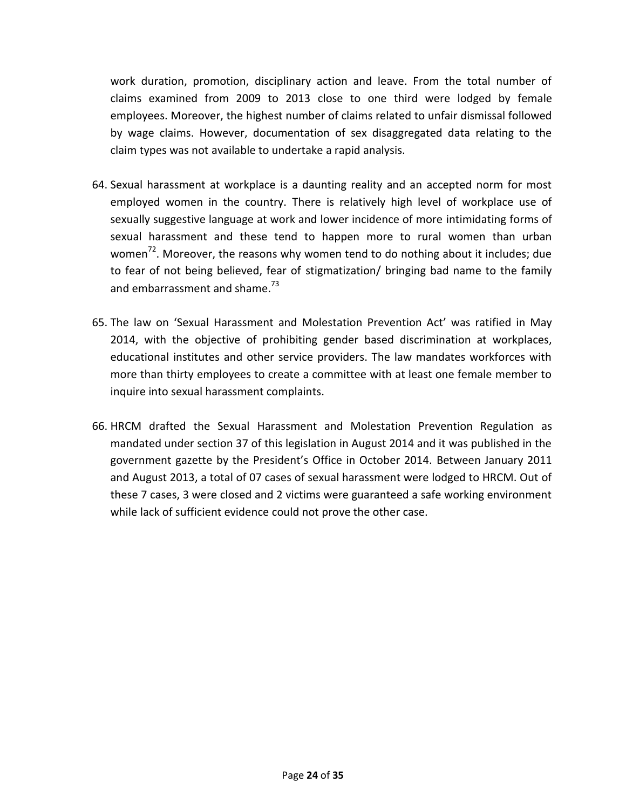work duration, promotion, disciplinary action and leave. From the total number of claims examined from 2009 to 2013 close to one third were lodged by female employees. Moreover, the highest number of claims related to unfair dismissal followed by wage claims. However, documentation of sex disaggregated data relating to the claim types was not available to undertake a rapid analysis.

- 64. Sexual harassment at workplace is a daunting reality and an accepted norm for most employed women in the country. There is relatively high level of workplace use of sexually suggestive language at work and lower incidence of more intimidating forms of sexual harassment and these tend to happen more to rural women than urban women<sup>72</sup>. Moreover, the reasons why women tend to do nothing about it includes; due to fear of not being believed, fear of stigmatization/ bringing bad name to the family and embarrassment and shame.<sup>73</sup>
- 65. The law on 'Sexual Harassment and Molestation Prevention Act' was ratified in May 2014, with the objective of prohibiting gender based discrimination at workplaces, educational institutes and other service providers. The law mandates workforces with more than thirty employees to create a committee with at least one female member to inquire into sexual harassment complaints.
- 66. HRCM drafted the Sexual Harassment and Molestation Prevention Regulation as mandated under section 37 of this legislation in August 2014 and it was published in the government gazette by the President's Office in October 2014. Between January 2011 and August 2013, a total of 07 cases of sexual harassment were lodged to HRCM. Out of these 7 cases, 3 were closed and 2 victims were guaranteed a safe working environment while lack of sufficient evidence could not prove the other case.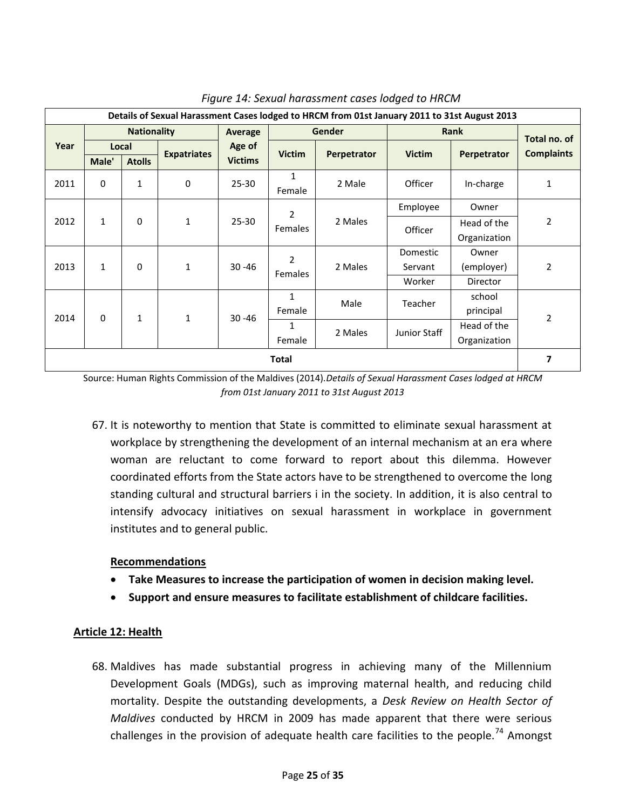| Details of Sexual Harassment Cases lodged to HRCM from 01st January 2011 to 31st August 2013 |                    |               |                             |                             |                   |              |               |                |                   |        |          |
|----------------------------------------------------------------------------------------------|--------------------|---------------|-----------------------------|-----------------------------|-------------------|--------------|---------------|----------------|-------------------|--------|----------|
|                                                                                              | <b>Nationality</b> |               | Average                     | <b>Gender</b>               |                   | Rank         |               | Total no. of   |                   |        |          |
| Year                                                                                         | Local              |               |                             | Age of                      | <b>Victim</b>     |              | <b>Victim</b> |                | <b>Complaints</b> |        |          |
|                                                                                              | Male'              | <b>Atolls</b> | <b>Expatriates</b>          | <b>Victims</b>              |                   | Perpetrator  |               | Perpetrator    |                   |        |          |
| 2011                                                                                         | $\mathbf 0$        | $\mathbf 1$   | $\bf{0}$                    | $25 - 30$                   | 1<br>Female       | 2 Male       | Officer       | In-charge      | 1                 |        |          |
|                                                                                              |                    |               |                             |                             | 2                 | Employee     | Owner         | $\overline{2}$ |                   |        |          |
| $\mathbf{1}$<br>2012                                                                         | 0                  | $\mathbf{1}$  | $25 - 30$                   | <b>Females</b>              | 2 Males           |              | Head of the   |                |                   |        |          |
|                                                                                              |                    |               |                             |                             |                   |              | Officer       | Organization   |                   |        |          |
|                                                                                              |                    |               |                             |                             | $\overline{2}$    |              | Domestic      | Owner          |                   |        |          |
| 2013                                                                                         | $\mathbf{1}$       | $\mathbf 0$   | $\mathbf 1$                 | $30 - 46$<br><b>Females</b> | 2 Males           |              | Servant       | (employer)     | $\overline{2}$    |        |          |
|                                                                                              |                    |               |                             |                             |                   |              |               |                |                   | Worker | Director |
| $\mathbf 0$<br>2014                                                                          |                    |               |                             | 1                           | Male              | Teacher      | school        | $\overline{2}$ |                   |        |          |
|                                                                                              |                    |               | $\mathbf 1$<br>$\mathbf{1}$ | $30 - 46$                   | Female            |              | principal     |                |                   |        |          |
|                                                                                              |                    |               |                             |                             | $\mathbf{1}$      | Junior Staff | Head of the   |                |                   |        |          |
|                                                                                              |                    |               |                             |                             | 2 Males<br>Female |              | Organization  |                |                   |        |          |
| <b>Total</b>                                                                                 |                    |               |                             |                             |                   | 7            |               |                |                   |        |          |

Source: Human Rights Commission of the Maldives (2014).*Details of Sexual Harassment Cases lodged at HRCM from 01st January 2011 to 31st August 2013*

67. It is noteworthy to mention that State is committed to eliminate sexual harassment at workplace by strengthening the development of an internal mechanism at an era where woman are reluctant to come forward to report about this dilemma. However coordinated efforts from the State actors have to be strengthened to overcome the long standing cultural and structural barriers i in the society. In addition, it is also central to intensify advocacy initiatives on sexual harassment in workplace in government institutes and to general public.

### **Recommendations**

- **Take Measures to increase the participation of women in decision making level.**
- **Support and ensure measures to facilitate establishment of childcare facilities.**

#### <span id="page-24-0"></span>**Article 12: Health**

68. Maldives has made substantial progress in achieving many of the Millennium Development Goals (MDGs), such as improving maternal health, and reducing child mortality. Despite the outstanding developments, a *Desk Review on Health Sector of Maldives* conducted by HRCM in 2009 has made apparent that there were serious challenges in the provision of adequate health care facilities to the people.<sup>74</sup> Amongst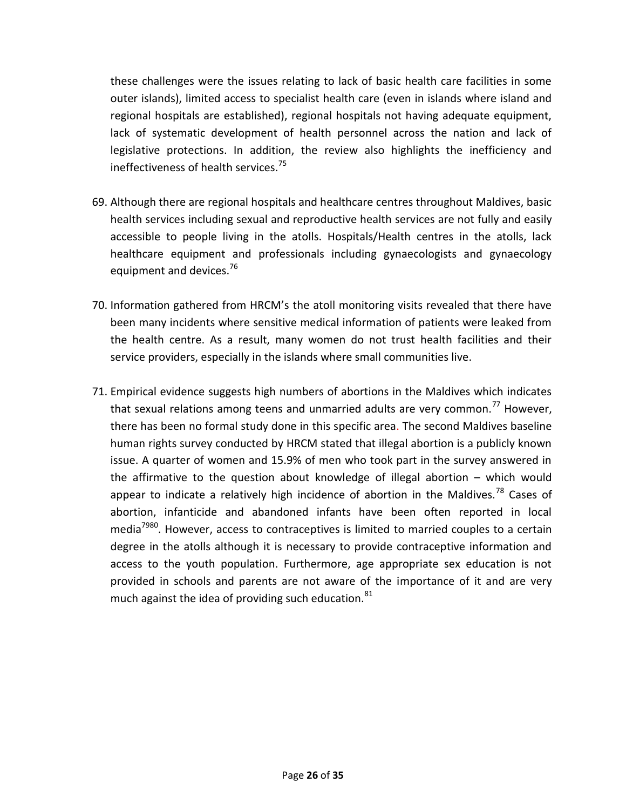these challenges were the issues relating to lack of basic health care facilities in some outer islands), limited access to specialist health care (even in islands where island and regional hospitals are established), regional hospitals not having adequate equipment, lack of systematic development of health personnel across the nation and lack of legislative protections. In addition, the review also highlights the inefficiency and ineffectiveness of health services.<sup>75</sup>

- 69. Although there are regional hospitals and healthcare centres throughout Maldives, basic health services including sexual and reproductive health services are not fully and easily accessible to people living in the atolls. Hospitals/Health centres in the atolls, lack healthcare equipment and professionals including gynaecologists and gynaecology equipment and devices.<sup>76</sup>
- 70. Information gathered from HRCM's the atoll monitoring visits revealed that there have been many incidents where sensitive medical information of patients were leaked from the health centre. As a result, many women do not trust health facilities and their service providers, especially in the islands where small communities live.
- 71. Empirical evidence suggests high numbers of abortions in the Maldives which indicates that sexual relations among teens and unmarried adults are very common.<sup>77</sup> However, there has been no formal study done in this specific area. The second Maldives baseline human rights survey conducted by HRCM stated that illegal abortion is a publicly known issue. A quarter of women and 15.9% of men who took part in the survey answered in the affirmative to the question about knowledge of illegal abortion – which would appear to indicate a relatively high incidence of abortion in the Maldives.<sup>78</sup> Cases of abortion, infanticide and abandoned infants have been often reported in local media<sup>7980</sup>. However, access to contraceptives is limited to married couples to a certain degree in the atolls although it is necessary to provide contraceptive information and access to the youth population. Furthermore, age appropriate sex education is not provided in schools and parents are not aware of the importance of it and are very much against the idea of providing such education. $81$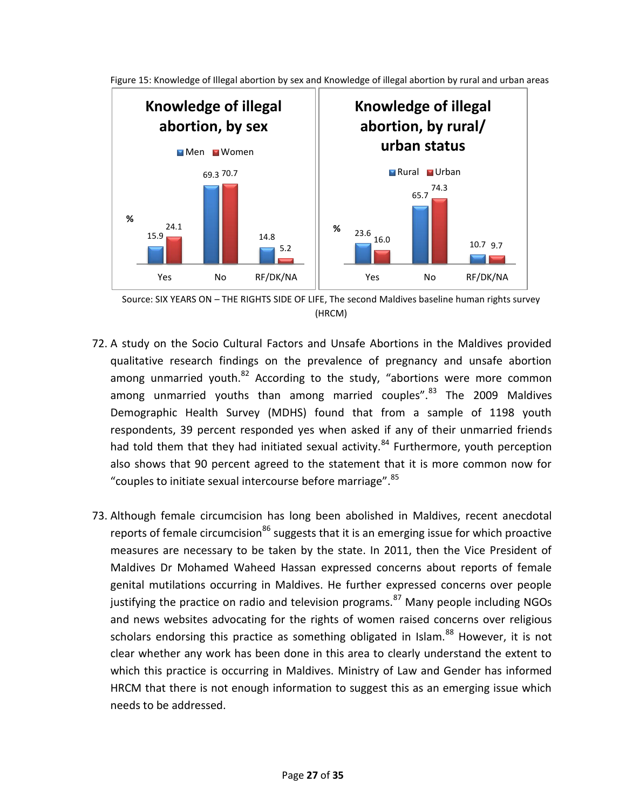

Figure 15: Knowledge of Illegal abortion by sex and Knowledge of illegal abortion by rural and urban areas

Source: SIX YEARS ON – THE RIGHTS SIDE OF LIFE, The second Maldives baseline human rights survey (HRCM)

- 72. A study on the Socio Cultural Factors and Unsafe Abortions in the Maldives provided qualitative research findings on the prevalence of pregnancy and unsafe abortion among unmarried youth. $^{82}$  According to the study, "abortions were more common among unmarried youths than among married couples".<sup>83</sup> The 2009 Maldives Demographic Health Survey (MDHS) found that from a sample of 1198 youth respondents, 39 percent responded yes when asked if any of their unmarried friends had told them that they had initiated sexual activity.<sup>84</sup> Furthermore, youth perception also shows that 90 percent agreed to the statement that it is more common now for "couples to initiate sexual intercourse before marriage".<sup>85</sup>
- 73. Although female circumcision has long been abolished in Maldives, recent anecdotal reports of female circumcision<sup>86</sup> suggests that it is an emerging issue for which proactive measures are necessary to be taken by the state. In 2011, then the Vice President of Maldives Dr Mohamed Waheed Hassan expressed concerns about reports of female genital mutilations occurring in Maldives. He further expressed concerns over people justifying the practice on radio and television programs.<sup>87</sup> Many people including NGOs and news websites advocating for the rights of women raised concerns over religious scholars endorsing this practice as something obligated in Islam. $^{88}$  However, it is not clear whether any work has been done in this area to clearly understand the extent to which this practice is occurring in Maldives. Ministry of Law and Gender has informed HRCM that there is not enough information to suggest this as an emerging issue which needs to be addressed.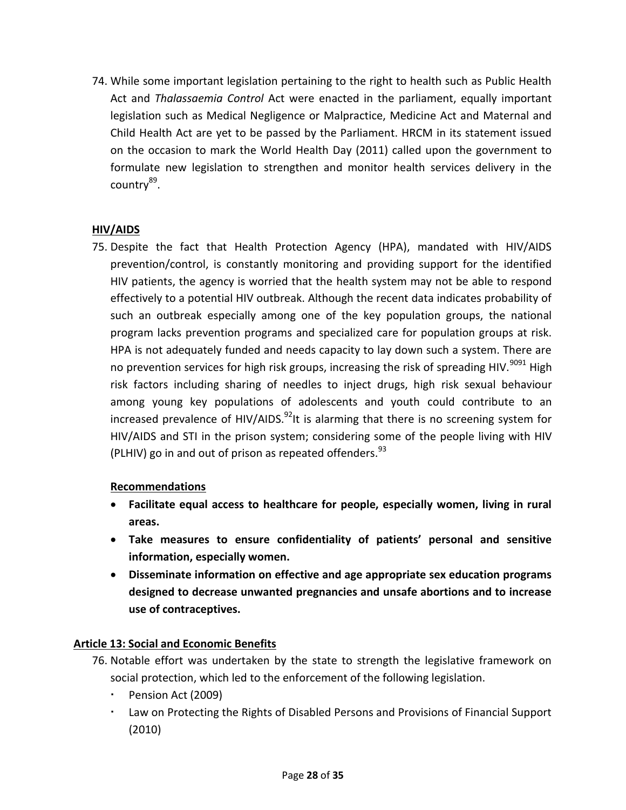74. While some important legislation pertaining to the right to health such as Public Health Act and *Thalassaemia Control* Act were enacted in the parliament, equally important legislation such as Medical Negligence or Malpractice, Medicine Act and Maternal and Child Health Act are yet to be passed by the Parliament. HRCM in its statement issued on the occasion to mark the World Health Day (2011) called upon the government to formulate new legislation to strengthen and monitor health services delivery in the country<sup>89</sup>.

# <span id="page-27-0"></span>**HIV/AIDS**

75. Despite the fact that Health Protection Agency (HPA), mandated with HIV/AIDS prevention/control, is constantly monitoring and providing support for the identified HIV patients, the agency is worried that the health system may not be able to respond effectively to a potential HIV outbreak. Although the recent data indicates probability of such an outbreak especially among one of the key population groups, the national program lacks prevention programs and specialized care for population groups at risk. HPA is not adequately funded and needs capacity to lay down such a system. There are no prevention services for high risk groups, increasing the risk of spreading HIV.<sup>9091</sup> High risk factors including sharing of needles to inject drugs, high risk sexual behaviour among young key populations of adolescents and youth could contribute to an increased prevalence of HIV/AIDS. $^{92}$ It is alarming that there is no screening system for HIV/AIDS and STI in the prison system; considering some of the people living with HIV (PLHIV) go in and out of prison as repeated offenders.  $93$ 

# **Recommendations**

- **Facilitate equal access to healthcare for people, especially women, living in rural areas.**
- **Take measures to ensure confidentiality of patients' personal and sensitive information, especially women.**
- **Disseminate information on effective and age appropriate sex education programs designed to decrease unwanted pregnancies and unsafe abortions and to increase use of contraceptives.**

# <span id="page-27-1"></span>**Article 13: Social and Economic Benefits**

- 76. Notable effort was undertaken by the state to strength the legislative framework on social protection, which led to the enforcement of the following legislation.
	- **Pension Act (2009)**
	- Law on Protecting the Rights of Disabled Persons and Provisions of Financial Support (2010)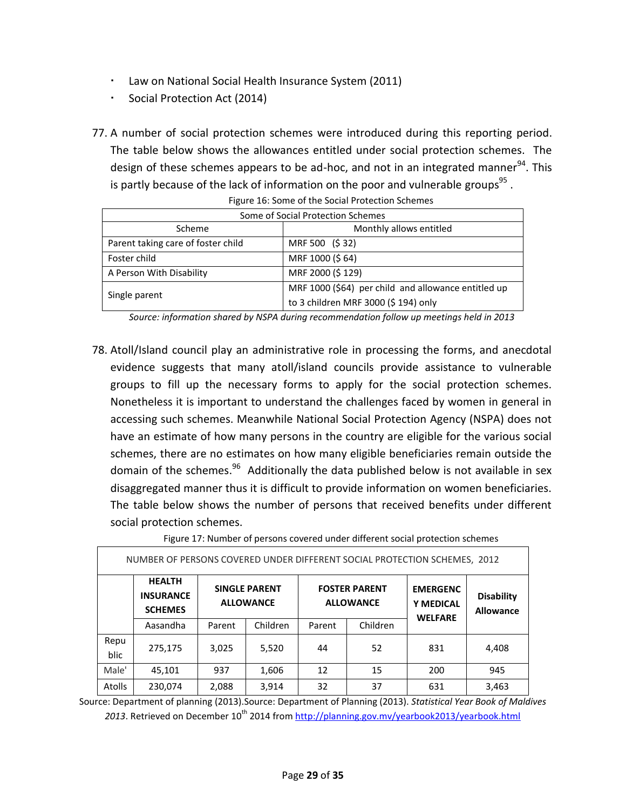- Law on National Social Health Insurance System (2011)
- Social Protection Act (2014)
- 77. A number of social protection schemes were introduced during this reporting period. The table below shows the allowances entitled under social protection schemes. The design of these schemes appears to be ad-hoc, and not in an integrated manner<sup>94</sup>. This is partly because of the lack of information on the poor and vulnerable groups<sup>95</sup>.

| Some of Social Protection Schemes  |                                                     |  |  |  |
|------------------------------------|-----------------------------------------------------|--|--|--|
| Monthly allows entitled<br>Scheme  |                                                     |  |  |  |
| Parent taking care of foster child | MRF 500 (\$32)                                      |  |  |  |
| Foster child                       | MRF 1000 (\$64)                                     |  |  |  |
| A Person With Disability           | MRF 2000 (\$129)                                    |  |  |  |
|                                    | MRF 1000 (\$64) per child and allowance entitled up |  |  |  |
| Single parent                      | to 3 children MRF 3000 (\$ 194) only                |  |  |  |

Figure 16: Some of the Social Protection Schemes

*Source: information shared by NSPA during recommendation follow up meetings held in 2013*

78. Atoll/Island council play an administrative role in processing the forms, and anecdotal evidence suggests that many atoll/island councils provide assistance to vulnerable groups to fill up the necessary forms to apply for the social protection schemes. Nonetheless it is important to understand the challenges faced by women in general in accessing such schemes. Meanwhile National Social Protection Agency (NSPA) does not have an estimate of how many persons in the country are eligible for the various social schemes, there are no estimates on how many eligible beneficiaries remain outside the domain of the schemes.<sup>96</sup> Additionally the data published below is not available in sex disaggregated manner thus it is difficult to provide information on women beneficiaries. The table below shows the number of persons that received benefits under different social protection schemes.

|  | Figure 17: Number of persons covered under different social protection schemes |
|--|--------------------------------------------------------------------------------|
|--|--------------------------------------------------------------------------------|

| NUMBER OF PERSONS COVERED UNDER DIFFERENT SOCIAL PROTECTION SCHEMES, 2012 |                                                     |                                          |          |                                          |          |                                                       |                                       |
|---------------------------------------------------------------------------|-----------------------------------------------------|------------------------------------------|----------|------------------------------------------|----------|-------------------------------------------------------|---------------------------------------|
|                                                                           | <b>HEALTH</b><br><b>INSURANCE</b><br><b>SCHEMES</b> | <b>SINGLE PARENT</b><br><b>ALLOWANCE</b> |          | <b>FOSTER PARENT</b><br><b>ALLOWANCE</b> |          | <b>EMERGENC</b><br><b>Y MEDICAL</b><br><b>WELFARE</b> | <b>Disability</b><br><b>Allowance</b> |
|                                                                           | Aasandha                                            | Parent                                   | Children | Parent                                   | Children |                                                       |                                       |
| Repu<br>blic                                                              | 275,175                                             | 3,025                                    | 5,520    | 44                                       | 52       | 831                                                   | 4,408                                 |
| Male'                                                                     | 45,101                                              | 937                                      | 1,606    | 12                                       | 15       | 200                                                   | 945                                   |
| Atolls                                                                    | 230,074                                             | 2,088                                    | 3,914    | 32                                       | 37       | 631                                                   | 3,463                                 |

Source: Department of planning (2013).Source: Department of Planning (2013). *Statistical Year Book of Maldives*  2013. Retrieved on December 10<sup>th</sup> 2014 from<http://planning.gov.mv/yearbook2013/yearbook.html>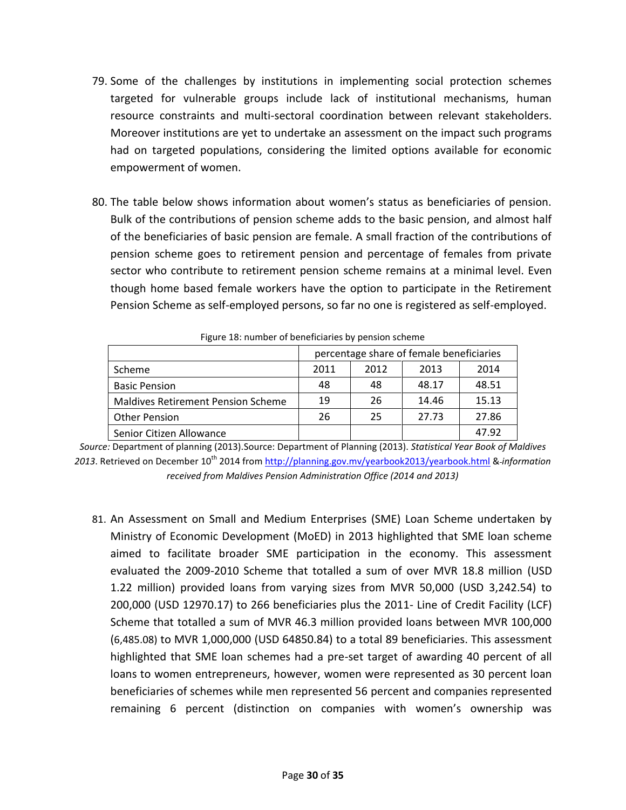- 79. Some of the challenges by institutions in implementing social protection schemes targeted for vulnerable groups include lack of institutional mechanisms, human resource constraints and multi-sectoral coordination between relevant stakeholders. Moreover institutions are yet to undertake an assessment on the impact such programs had on targeted populations, considering the limited options available for economic empowerment of women.
- 80. The table below shows information about women's status as beneficiaries of pension. Bulk of the contributions of pension scheme adds to the basic pension, and almost half of the beneficiaries of basic pension are female. A small fraction of the contributions of pension scheme goes to retirement pension and percentage of females from private sector who contribute to retirement pension scheme remains at a minimal level. Even though home based female workers have the option to participate in the Retirement Pension Scheme as self-employed persons, so far no one is registered as self-employed.

|                                           | percentage share of female beneficiaries |      |       |       |  |
|-------------------------------------------|------------------------------------------|------|-------|-------|--|
| Scheme                                    | 2011                                     | 2012 | 2013  | 2014  |  |
| <b>Basic Pension</b>                      | 48                                       | 48   | 48.17 | 48.51 |  |
| <b>Maldives Retirement Pension Scheme</b> | 19                                       | 26   | 14.46 | 15.13 |  |
| <b>Other Pension</b>                      | 26                                       | 25   | 27.73 | 27.86 |  |
| Senior Citizen Allowance                  |                                          |      |       | 47.92 |  |

Figure 18: number of beneficiaries by pension scheme

81. An Assessment on Small and Medium Enterprises (SME) Loan Scheme undertaken by Ministry of Economic Development (MoED) in 2013 highlighted that SME loan scheme aimed to facilitate broader SME participation in the economy. This assessment evaluated the 2009-2010 Scheme that totalled a sum of over MVR 18.8 million (USD 1.22 million) provided loans from varying sizes from MVR 50,000 (USD 3,242.54) to 200,000 (USD 12970.17) to 266 beneficiaries plus the 2011- Line of Credit Facility (LCF) Scheme that totalled a sum of MVR 46.3 million provided loans between MVR 100,000 (6,485.08) to MVR 1,000,000 (USD 64850.84) to a total 89 beneficiaries. This assessment highlighted that SME loan schemes had a pre-set target of awarding 40 percent of all loans to women entrepreneurs, however, women were represented as 30 percent loan beneficiaries of schemes while men represented 56 percent and companies represented remaining 6 percent (distinction on companies with women's ownership was

*Source:* Department of planning (2013).Source: Department of Planning (2013). *Statistical Year Book of Maldives 2013*. Retrieved on December 10th 2014 from<http://planning.gov.mv/yearbook2013/yearbook.html> & *information received from Maldives Pension Administration Office (2014 and 2013)*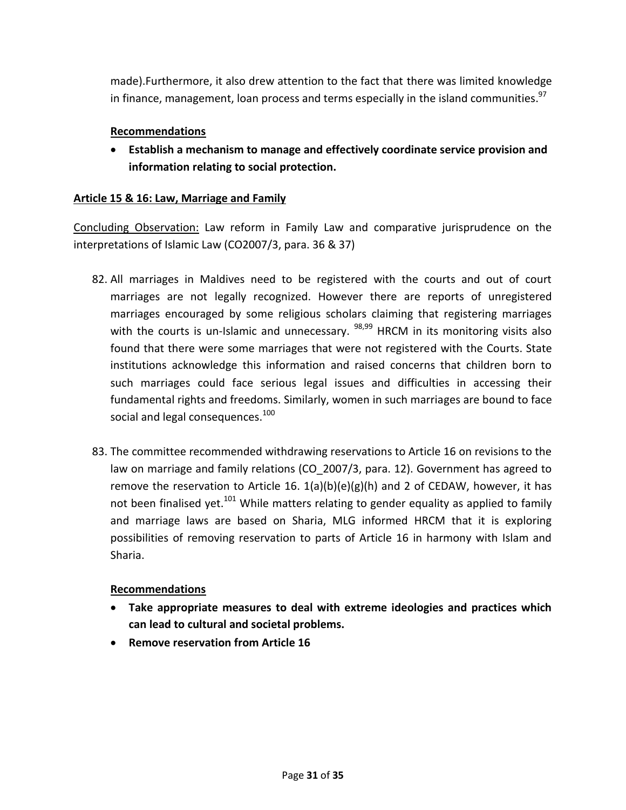made).Furthermore, it also drew attention to the fact that there was limited knowledge in finance, management, loan process and terms especially in the island communities.<sup>97</sup>

## **Recommendations**

 **Establish a mechanism to manage and effectively coordinate service provision and information relating to social protection.**

## <span id="page-30-0"></span>**Article 15 & 16: Law, Marriage and Family**

Concluding Observation: Law reform in Family Law and comparative jurisprudence on the interpretations of Islamic Law (CO2007/3, para. 36 & 37)

- 82. All marriages in Maldives need to be registered with the courts and out of court marriages are not legally recognized. However there are reports of unregistered marriages encouraged by some religious scholars claiming that registering marriages with the courts is un-Islamic and unnecessary.  $98,99$  HRCM in its monitoring visits also found that there were some marriages that were not registered with the Courts. State institutions acknowledge this information and raised concerns that children born to such marriages could face serious legal issues and difficulties in accessing their fundamental rights and freedoms. Similarly, women in such marriages are bound to face social and legal consequences.<sup>100</sup>
- 83. The committee recommended withdrawing reservations to Article 16 on revisions to the law on marriage and family relations (CO 2007/3, para. 12). Government has agreed to remove the reservation to Article 16.  $1(a)(b)(e)(g)(h)$  and 2 of CEDAW, however, it has not been finalised yet.<sup>101</sup> While matters relating to gender equality as applied to family and marriage laws are based on Sharia, MLG informed HRCM that it is exploring possibilities of removing reservation to parts of Article 16 in harmony with Islam and Sharia.

### **Recommendations**

- **Take appropriate measures to deal with extreme ideologies and practices which can lead to cultural and societal problems.**
- **Remove reservation from Article 16**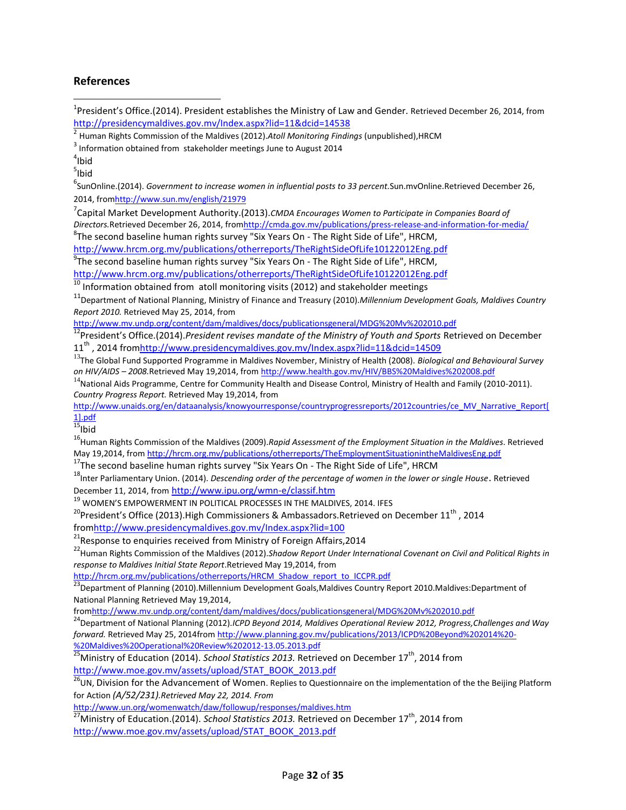#### **References**

<sup>1</sup>President's Office.(2014). President establishes the Ministry of Law and Gender. Retrieved December 26, 2014, from <http://presidencymaldives.gov.mv/Index.aspx?lid=11&dcid=14538>

2 Human Rights Commission of the Maldives (2012).*Atoll Monitoring Findings* (unpublished),HRCM

 $3$  Information obtained from stakeholder meetings June to August 2014

 $4$ Ibid

 $\overline{\phantom{a}}$ 

 $5$ lbid

6 SunOnline.(2014). *Government to increase women in influential posts to 33 percent.*Sun.mvOnline.Retrieved December 26, 2014, fro[mhttp://www.sun.mv/english/21979](http://www.sun.mv/english/21979)

7 Capital Market Development Authority.(2013).*[CMDA Encourages Women to Participate in Companies Board of](http://cmda.gov.mv/docs/News-women-in-board.pdf)  [Directors.](http://cmda.gov.mv/docs/News-women-in-board.pdf)*Retrieved December 26, 2014, fro[mhttp://cmda.gov.mv/publications/press-release-and-information-for-media/](http://cmda.gov.mv/publications/press-release-and-information-for-media/)  ${}^{8}$ The second baseline human rights survey "Six Years On - The Right Side of Life", HRCM,

<http://www.hrcm.org.mv/publications/otherreports/TheRightSideOfLife10122012Eng.pdf>

 $^{9}$ The second baseline human rights survey "Six Years On - The Right Side of Life", HRCM, <http://www.hrcm.org.mv/publications/otherreports/TheRightSideOfLife10122012Eng.pdf>

 $10$  Information obtained from atoll monitoring visits (2012) and stakeholder meetings

<sup>11</sup>Department of National Planning, Ministry of Finance and Treasury (2010).*Millennium Development Goals, Maldives Country Report 2010.* Retrieved May 25, 2014, from

<http://www.mv.undp.org/content/dam/maldives/docs/publicationsgeneral/MDG%20Mv%202010.pdf>

<sup>12</sup>President's Office.(2014).President revises mandate of the Ministry of Youth and Sports Retrieved on December 11<sup>th</sup>, 2014 fro[mhttp://www.presidencymaldives.gov.mv/Index.aspx?lid=11&dcid=14509](http://www.presidencymaldives.gov.mv/Index.aspx?lid=11&dcid=14509)

<sup>13</sup>The Global Fund Supported Programme in Maldives November, Ministry of Health (2008). *Biological and Behavioural Survey on HIV/AIDS – 2008.*Retrieved May 19,2014, from http://www.health.gov.mv/HIV/BBS%20Maldives%202008.pdf

 $14$ National Aids Programme, Centre for Community Health and Disease Control, Ministry of Health and Family (2010-2011). *Country Progress Report.* Retrieved May 19,2014, from

http://www.unaids.org/en/dataanalysis/knowyourresponse/countryprogressreports/2012countries/ce\_MV\_Narrative\_Report[ 1].pdf

 $15$ <sub>Ibid</sub>

<sup>16</sup>Human Rights Commission of the Maldives (2009). Rapid Assessment of the Employment Situation in the Maldives. Retrieved May 19,2014, from http://hrcm.org.mv/publications/otherreports/TheEmploymentSituationintheMaldivesEng.pdf

<sup>17</sup>The second baseline human rights survey "Six Years On - The Right Side of Life", HRCM

<sup>18</sup>Inter Parliamentary Union. (2014). *Descending order of the percentage of women in the lower or single House*. Retrieved December 11, 2014, from <http://www.ipu.org/wmn-e/classif.htm>

<sup>19</sup> WOMEN'S EMPOWERMENT IN POLITICAL PROCESSES IN THE MALDIVES, 2014. IFES

<sup>20</sup>President's Office (2013).High Commissioners & Ambassadors.Retrieved on December 11<sup>th</sup>, 2014

fro[mhttp://www.presidencymaldives.gov.mv/Index.aspx?lid=100](http://www.presidencymaldives.gov.mv/Index.aspx?lid=100)

<sup>21</sup> Response to enquiries received from Ministry of Foreign Affairs, 2014

<sup>22</sup>Human Rights Commission of the Maldives (2012).*Shadow Report Under International Covenant on Civil and Political Rights in response to Maldives Initial State Report*.Retrieved May 19,2014, from

http://hrcm.org.mv/publications/otherreports/HRCM\_Shadow\_report\_to\_ICCPR.pdf

<sup>23</sup>Department of Planning (2010). Millennium Development Goals, Maldives Country Report 2010. Maldives: Department of National Planning Retrieved May 19,2014,

fromhttp://www.mv.undp.org/content/dam/maldives/docs/publicationsgeneral/MDG%20Mv%202010.pdf

<sup>24</sup>Department of National Planning (2012).*ICPD Beyond 2014, Maldives Operational Review 2012, Progress,Challenges and Way forward.* Retrieved May 25, 2014fro[m http://www.planning.gov.mv/publications/2013/ICPD%20Beyond%202014%20-](http://www.planning.gov.mv/publications/2013/ICPD%20Beyond%202014%20-%20Maldives%20Operational%20Review%202012-13.05.2013.pdf) [%20Maldives%20Operational%20Review%202012-13.05.2013.pdf](http://www.planning.gov.mv/publications/2013/ICPD%20Beyond%202014%20-%20Maldives%20Operational%20Review%202012-13.05.2013.pdf)

25<br><sup>25</sup>Ministry of Education (2014). *School Statistics 2013.* Retrieved on December 17<sup>th</sup>, 2014 from [http://www.moe.gov.mv/assets/upload/STAT\\_BOOK\\_2013.pdf](http://www.moe.gov.mv/assets/upload/STAT_BOOK_2013.pdf)

<sup>26</sup>UN, Division for the Advancement of Women. Replies to Questionnaire on the implementation of the the Beijing Platform for Action *(A/52/231).Retrieved May 22, 2014. From* 

http://www.un.org/womenwatch/daw/followup/responses/maldives.htm

27<br><sup>27</sup>Ministry of Education.(2014). *School Statistics 2013.* Retrieved on December 17<sup>th</sup>, 2014 from [http://www.moe.gov.mv/assets/upload/STAT\\_BOOK\\_2013.pdf](http://www.moe.gov.mv/assets/upload/STAT_BOOK_2013.pdf)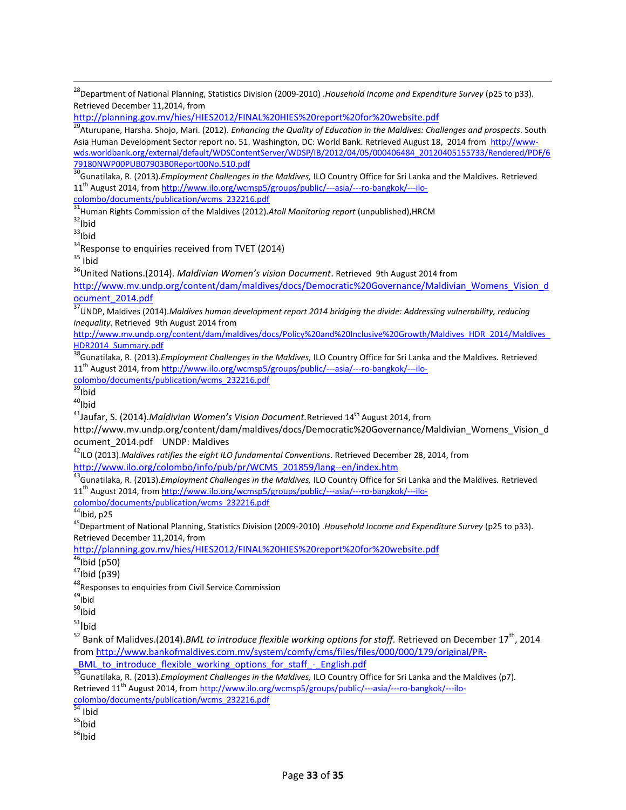<sup>28</sup>Department of National Planning, Statistics Division (2009-2010) .*Household Income and Expenditure Survey* (p25 to p33). Retrieved December 11,2014, from

<http://planning.gov.mv/hies/HIES2012/FINAL%20HIES%20report%20for%20website.pdf>

<sup>29</sup>Aturupane, Harsha. Shojo, Mari. (2012). *Enhancing the Quality of Education in the Maldives: Challenges and prospects*. South Asia Human Development Sector report no. 51. Washington, DC: World Bank. Retrieved August 18, 2014 from [http://www](http://www-wds.worldbank.org/external/default/WDSContentServer/WDSP/IB/2012/04/05/000406484_20120405155733/Rendered/PDF/679180NWP00PUB07903B0Report00No.510.pdf)[wds.worldbank.org/external/default/WDSContentServer/WDSP/IB/2012/04/05/000406484\\_20120405155733/Rendered/PDF/6](http://www-wds.worldbank.org/external/default/WDSContentServer/WDSP/IB/2012/04/05/000406484_20120405155733/Rendered/PDF/679180NWP00PUB07903B0Report00No.510.pdf) [79180NWP00PUB07903B0Report00No.510.pdf](http://www-wds.worldbank.org/external/default/WDSContentServer/WDSP/IB/2012/04/05/000406484_20120405155733/Rendered/PDF/679180NWP00PUB07903B0Report00No.510.pdf)

<sup>30</sup>Gunatilaka, R. (2013).*Employment Challenges in the Maldives,* ILO Country Office for Sri Lanka and the Maldives*.* Retrieved 11<sup>th</sup> August 2014, from http://www.ilo.org/wcmsp5/groups/public/---asia/---ro-bangkok/---ilo-

colombo/documents/publication/wcms\_232216.pdf

<sup>31</sup>Human Rights Commission of the Maldives (2012).Atoll Monitoring report (unpublished),HRCM

 $32$ Ibid

 $\overline{\phantom{a}}$ 

 $33$ Ibid

 $34$ Response to enquiries received from TVET (2014)

 $35$  Ibid

<sup>36</sup>United Nations.(2014). *Maldivian Women's vision Document*. Retrieved 9th August 2014 from

[http://www.mv.undp.org/content/dam/maldives/docs/Democratic%20Governance/Maldivian\\_Womens\\_Vision\\_d](http://www.mv.undp.org/content/dam/maldives/docs/Democratic%20Governance/Maldivian_Womens_Vision_document_2014.pdf) [ocument\\_2014.pdf](http://www.mv.undp.org/content/dam/maldives/docs/Democratic%20Governance/Maldivian_Womens_Vision_document_2014.pdf)

<sup>37</sup>UNDP, Maldives (2014).*Maldives human development report 2014 bridging the divide: Addressing vulnerability, reducing inequality.* Retrieved 9th August 2014 from

[http://www.mv.undp.org/content/dam/maldives/docs/Policy%20and%20Inclusive%20Growth/Maldives\\_HDR\\_2014/Maldives\\_](http://www.mv.undp.org/content/dam/maldives/docs/Policy%20and%20Inclusive%20Growth/Maldives_HDR_2014/Maldives_HDR2014_Summary.pdf) [HDR2014\\_Summary.pdf](http://www.mv.undp.org/content/dam/maldives/docs/Policy%20and%20Inclusive%20Growth/Maldives_HDR_2014/Maldives_HDR2014_Summary.pdf)

<sup>38</sup>Gunatilaka, R. (2013).*Employment Challenges in the Maldives,* ILO Country Office for Sri Lanka and the Maldives*.* Retrieved 11<sup>th</sup> August 2014, from http://www.ilo.org/wcmsp5/groups/public/---asia/---ro-bangkok/---ilo-

colombo/documents/publication/wcms\_232216.pdf

<sup>39</sup>Ibid

 $40$ Ibid

<sup>41</sup>Jaufar, S. (2014).*Maldivian Women's Vision Document.* Retrieved 14<sup>th</sup> August 2014, from

[http://www.mv.undp.org/content/dam/maldives/docs/Democratic%20Governance/Maldivian\\_Womens\\_Vision\\_d](http://www.mv.undp.org/content/dam/maldives/docs/Democratic%20Governance/Maldivian_Womens_Vision_document_2014.pdf) [ocument\\_2014.pdf](http://www.mv.undp.org/content/dam/maldives/docs/Democratic%20Governance/Maldivian_Womens_Vision_document_2014.pdf) UNDP: Maldives

<sup>42</sup>ILO (2013).*Maldives ratifies the eight ILO fundamental Conventions*. Retrieved December 28, 2014, from [http://www.ilo.org/colombo/info/pub/pr/WCMS\\_201859/lang--en/index.htm](http://www.ilo.org/colombo/info/pub/pr/WCMS_201859/lang--en/index.htm)

<sup>43</sup>Gunatilaka, R. (2013).*Employment Challenges in the Maldives,* ILO Country Office for Sri Lanka and the Maldives*.* Retrieved 11th August 2014, from http://www.ilo.org/wcmsp5/groups/public/---asia/---ro-bangkok/---ilo-

colombo/documents/publication/wcms\_232216.pdf<br>
44th: 1.25

 $^4$ Ibid, p25

<sup>45</sup>Department of National Planning, Statistics Division (2009-2010) .*Household Income and Expenditure Survey* (p25 to p33). Retrieved December 11,2014, from

<http://planning.gov.mv/hies/HIES2012/FINAL%20HIES%20report%20for%20website.pdf>

 $46$ Ibid (p50)

 $47$ Ibid (p39)

48Responses to enquiries from Civil Service Commission

 $^{49}$ Ibid

 $50$ <sub>Ibid</sub>

 $51$  Ibid

<sup>52</sup> Bank of Malidves.(2014).*BML to introduce flexible working options for staff.* Retrieved on December 17<sup>th</sup>, 2014 from [http://www.bankofmaldives.com.mv/system/comfy/cms/files/files/000/000/179/original/PR-](http://www.bankofmaldives.com.mv/system/comfy/cms/files/files/000/000/179/original/PR-_BML_to_introduce_flexible_working_options_for_staff_-_English.pdf)

BML to introduce flexible working options for staff - English.pdf

<sup>53</sup>Gunatilaka, R. (2013).*Employment Challenges in the Maldives,* ILO Country Office for Sri Lanka and the Maldives (p7)*.* Retrieved 11<sup>th</sup> August 2014, from http://www.ilo.org/wcmsp5/groups/public/---asia/---ro-bangkok/---ilocolombo/documents/publication/wcms\_232216.pdf

<sup>54</sup> Ibid

 $55$ Ibid

56<sub>Ibid</sub>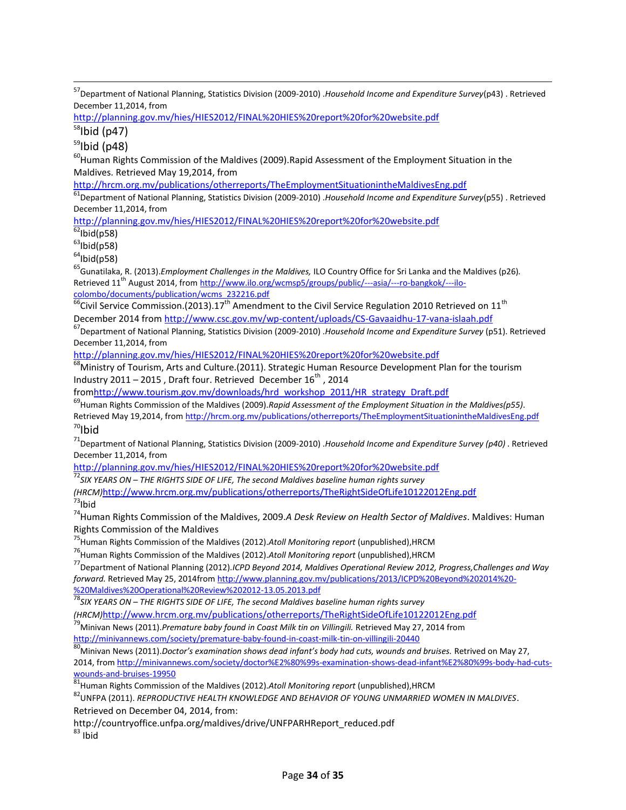<sup>57</sup>Department of National Planning, Statistics Division (2009-2010) .*Household Income and Expenditure Survey*(p43) . Retrieved December 11,2014, from

<http://planning.gov.mv/hies/HIES2012/FINAL%20HIES%20report%20for%20website.pdf>

 $58$ Ibid (p47)

 $\overline{\phantom{a}}$ 

 $59$ Ibid (p48)

 $^{60}$ Human Rights Commission of the Maldives (2009). Rapid Assessment of the Employment Situation in the Maldives. Retrieved May 19,2014, from

<http://hrcm.org.mv/publications/otherreports/TheEmploymentSituationintheMaldivesEng.pdf>

<sup>61</sup>Department of National Planning, Statistics Division (2009-2010) .*Household Income and Expenditure Survey*(p55) . Retrieved December 11,2014, from

<http://planning.gov.mv/hies/HIES2012/FINAL%20HIES%20report%20for%20website.pdf>

 $62$ Ibid(p58)

 $63$ Ibid(p58)

 $64$ Ibid(p58)

<sup>65</sup>Gunatilaka, R. (2013).*Employment Challenges in the Maldives,* ILO Country Office for Sri Lanka and the Maldives (p26)*.* Retrieved 11<sup>th</sup> August 2014, from http://www.ilo.org/wcmsp5/groups/public/---asia/---ro-bangkok/---ilocolombo/documents/publication/wcms\_232216.pdf

 $\frac{66}{6}$ Civil Service Commission.(2013).17<sup>th</sup> Amendment to the Civil Service Regulation 2010 Retrieved on 11<sup>th</sup> December 2014 from<http://www.csc.gov.mv/wp-content/uploads/CS-Gavaaidhu-17-vana-islaah.pdf>

<sup>67</sup>Department of National Planning, Statistics Division (2009-2010) .*Household Income and Expenditure Survey* (p51). Retrieved December 11,2014, from

<http://planning.gov.mv/hies/HIES2012/FINAL%20HIES%20report%20for%20website.pdf>

 $^8$ Ministry of Tourism, Arts and Culture.(2011). Strategic Human Resource Development Plan for the tourism Industry 2011 – 2015, Draft four. Retrieved December  $16^{th}$ , 2014

fro[mhttp://www.tourism.gov.mv/downloads/hrd\\_workshop\\_2011/HR\\_strategy\\_Draft.pdf](http://www.tourism.gov.mv/downloads/hrd_workshop_2011/HR_strategy_Draft.pdf)

<sup>69</sup>Human Rights Commission of the Maldives (2009).*Rapid Assessment of the Employment Situation in the Maldives(p55).* Retrieved May 19,2014, from http://hrcm.org.mv/publications/otherreports/TheEmploymentSituationintheMaldivesEng.pdf  $70$ Ibid

<sup>71</sup>Department of National Planning, Statistics Division (2009-2010) .*Household Income and Expenditure Survey (p40)* . Retrieved December 11,2014, from

<http://planning.gov.mv/hies/HIES2012/FINAL%20HIES%20report%20for%20website.pdf>

<sup>72</sup>*SIX YEARS ON – THE RIGHTS SIDE OF LIFE, The second Maldives baseline human rights survey* 

*(HRCM)*<http://www.hrcm.org.mv/publications/otherreports/TheRightSideOfLife10122012Eng.pdf> <sup>73</sup>Ibid

<sup>74</sup>Human Rights Commission of the Maldives, 2009.*A Desk Review on Health Sector of Maldives*. Maldives: Human Rights Commission of the Maldives

<sup>75</sup>Human Rights Commission of the Maldives (2012).*Atoll Monitoring report* (unpublished),HRCM

<sup>76</sup>Human Rights Commission of the Maldives (2012).*Atoll Monitoring report* (unpublished),HRCM

<sup>77</sup>Department of National Planning (2012).*ICPD Beyond 2014, Maldives Operational Review 2012, Progress,Challenges and Way forward.* Retrieved May 25, 2014fro[m http://www.planning.gov.mv/publications/2013/ICPD%20Beyond%202014%20-](http://www.planning.gov.mv/publications/2013/ICPD%20Beyond%202014%20-%20Maldives%20Operational%20Review%202012-13.05.2013.pdf) [%20Maldives%20Operational%20Review%202012-13.05.2013.pdf](http://www.planning.gov.mv/publications/2013/ICPD%20Beyond%202014%20-%20Maldives%20Operational%20Review%202012-13.05.2013.pdf)

<sup>78</sup>*SIX YEARS ON – THE RIGHTS SIDE OF LIFE, The second Maldives baseline human rights survey* 

*(HRCM)*<http://www.hrcm.org.mv/publications/otherreports/TheRightSideOfLife10122012Eng.pdf>

<sup>79</sup>Minivan News (2011).*Premature baby found in Coast Milk tin on Villingili.* Retrieved May 27, 2014 from <http://minivannews.com/society/premature-baby-found-in-coast-milk-tin-on-villingili-20440>

<sup>80</sup>Minivan News (2011).*Doctor's examination shows dead infant's body had cuts, wounds and bruises.* Retrived on May 27, 2014, fro[m http://minivannews.com/society/doctor%E2%80%99s-examination-shows-dead-infant%E2%80%99s-body-had-cuts](http://minivannews.com/society/doctor%E2%80%99s-examination-shows-dead-infant%E2%80%99s-body-had-cuts-wounds-and-bruises-19950)[wounds-and-bruises-19950](http://minivannews.com/society/doctor%E2%80%99s-examination-shows-dead-infant%E2%80%99s-body-had-cuts-wounds-and-bruises-19950)

<sup>81</sup>Human Rights Commission of the Maldives (2012).*Atoll Monitoring report* (unpublished),HRCM

<sup>82</sup>UNFPA (2011). *REPRODUCTIVE HEALTH KNOWLEDGE AND BEHAVIOR OF YOUNG UNMARRIED WOMEN IN MALDIVES*. Retrieved on December 04, 2014, from:

http://countryoffice.unfpa.org/maldives/drive/UNFPARHReport\_reduced.pdf

 $83$  Ibid